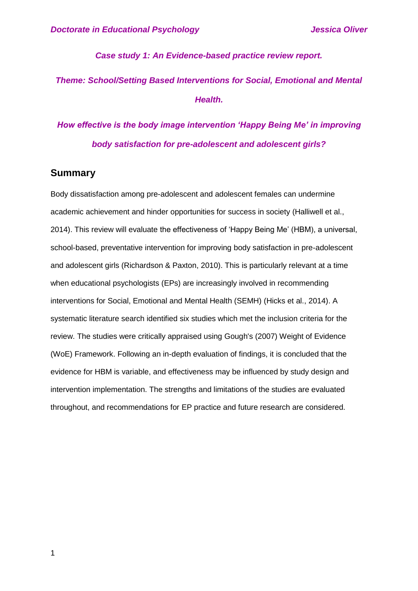### *Case study 1: An Evidence-based practice review report.*

# *Theme: School/Setting Based Interventions for Social, Emotional and Mental Health.*

# *How effective is the body image intervention 'Happy Being Me' in improving body satisfaction for pre-adolescent and adolescent girls?*

## **Summary**

Body dissatisfaction among pre-adolescent and adolescent females can undermine academic achievement and hinder opportunities for success in society (Halliwell et al., 2014). This review will evaluate the effectiveness of 'Happy Being Me' (HBM), a universal, school-based, preventative intervention for improving body satisfaction in pre-adolescent and adolescent girls (Richardson & Paxton, 2010). This is particularly relevant at a time when educational psychologists (EPs) are increasingly involved in recommending interventions for Social, Emotional and Mental Health (SEMH) (Hicks et al., 2014). A systematic literature search identified six studies which met the inclusion criteria for the review. The studies were critically appraised using Gough's (2007) Weight of Evidence (WoE) Framework. Following an in-depth evaluation of findings, it is concluded that the evidence for HBM is variable, and effectiveness may be influenced by study design and intervention implementation. The strengths and limitations of the studies are evaluated throughout, and recommendations for EP practice and future research are considered.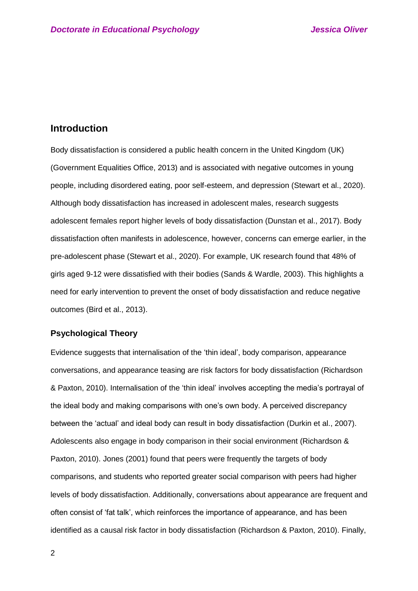## **Introduction**

Body dissatisfaction is considered a public health concern in the United Kingdom (UK) (Government Equalities Office, 2013) and is associated with negative outcomes in young people, including disordered eating, poor self-esteem, and depression (Stewart et al., 2020). Although body dissatisfaction has increased in adolescent males, research suggests adolescent females report higher levels of body dissatisfaction (Dunstan et al., 2017). Body dissatisfaction often manifests in adolescence, however, concerns can emerge earlier, in the pre-adolescent phase (Stewart et al., 2020). For example, UK research found that 48% of girls aged 9-12 were dissatisfied with their bodies (Sands & Wardle, 2003). This highlights a need for early intervention to prevent the onset of body dissatisfaction and reduce negative outcomes (Bird et al., 2013).

## **Psychological Theory**

Evidence suggests that internalisation of the 'thin ideal', body comparison, appearance conversations, and appearance teasing are risk factors for body dissatisfaction (Richardson & Paxton, 2010). Internalisation of the 'thin ideal' involves accepting the media's portrayal of the ideal body and making comparisons with one's own body. A perceived discrepancy between the 'actual' and ideal body can result in body dissatisfaction (Durkin et al., 2007). Adolescents also engage in body comparison in their social environment (Richardson & Paxton, 2010). Jones (2001) found that peers were frequently the targets of body comparisons, and students who reported greater social comparison with peers had higher levels of body dissatisfaction. Additionally, conversations about appearance are frequent and often consist of 'fat talk', which reinforces the importance of appearance, and has been identified as a causal risk factor in body dissatisfaction (Richardson & Paxton, 2010). Finally,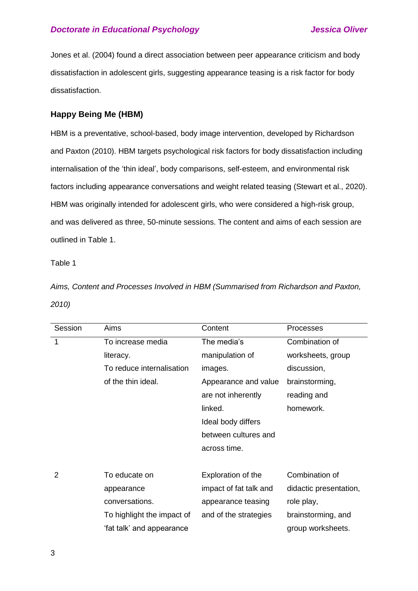Jones et al. (2004) found a direct association between peer appearance criticism and body dissatisfaction in adolescent girls, suggesting appearance teasing is a risk factor for body dissatisfaction.

## **Happy Being Me (HBM)**

HBM is a preventative, school-based, body image intervention, developed by Richardson and Paxton (2010). HBM targets psychological risk factors for body dissatisfaction including internalisation of the 'thin ideal', body comparisons, self-esteem, and environmental risk factors including appearance conversations and weight related teasing (Stewart et al., 2020). HBM was originally intended for adolescent girls, who were considered a high-risk group, and was delivered as three, 50-minute sessions. The content and aims of each session are outlined in Table 1.

### Table 1

*Aims, Content and Processes Involved in HBM (Summarised from Richardson and Paxton, 2010)*

| Session | Aims                       | Content                | Processes              |
|---------|----------------------------|------------------------|------------------------|
| 1       | To increase media          | The media's            | Combination of         |
|         | literacy.                  | manipulation of        | worksheets, group      |
|         | To reduce internalisation  | images.                | discussion,            |
|         | of the thin ideal.         | Appearance and value   | brainstorming,         |
|         |                            | are not inherently     | reading and            |
|         |                            | linked.                | homework.              |
|         |                            | Ideal body differs     |                        |
|         |                            | between cultures and   |                        |
|         |                            | across time.           |                        |
|         |                            |                        |                        |
| 2       | To educate on              | Exploration of the     | Combination of         |
|         | appearance                 | impact of fat talk and | didactic presentation, |
|         | conversations.             | appearance teasing     | role play,             |
|         | To highlight the impact of | and of the strategies  | brainstorming, and     |
|         | 'fat talk' and appearance  |                        | group worksheets.      |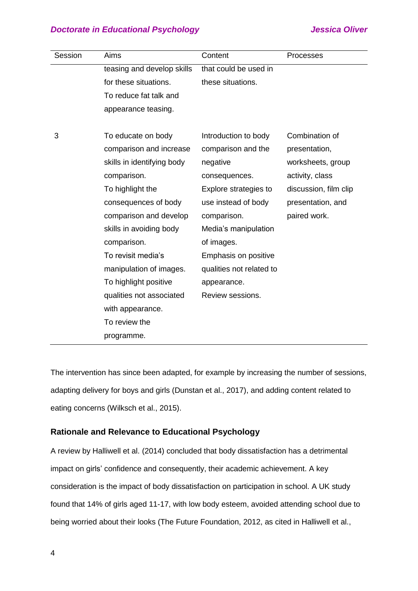| Session | Aims                       | Content                  | Processes             |
|---------|----------------------------|--------------------------|-----------------------|
|         | teasing and develop skills | that could be used in    |                       |
|         | for these situations.      | these situations.        |                       |
|         | To reduce fat talk and     |                          |                       |
|         | appearance teasing.        |                          |                       |
|         |                            |                          |                       |
| 3       | To educate on body         | Introduction to body     | Combination of        |
|         | comparison and increase    | comparison and the       | presentation,         |
|         | skills in identifying body | negative                 | worksheets, group     |
|         | comparison.                | consequences.            | activity, class       |
|         | To highlight the           | Explore strategies to    | discussion, film clip |
|         | consequences of body       | use instead of body      | presentation, and     |
|         | comparison and develop     | comparison.              | paired work.          |
|         | skills in avoiding body    | Media's manipulation     |                       |
|         | comparison.                | of images.               |                       |
|         | To revisit media's         | Emphasis on positive     |                       |
|         | manipulation of images.    | qualities not related to |                       |
|         | To highlight positive      | appearance.              |                       |
|         | qualities not associated   | Review sessions.         |                       |
|         | with appearance.           |                          |                       |
|         | To review the              |                          |                       |
|         | programme.                 |                          |                       |

The intervention has since been adapted, for example by increasing the number of sessions, adapting delivery for boys and girls (Dunstan et al., 2017), and adding content related to eating concerns (Wilksch et al., 2015).

## **Rationale and Relevance to Educational Psychology**

A review by Halliwell et al. (2014) concluded that body dissatisfaction has a detrimental impact on girls' confidence and consequently, their academic achievement. A key consideration is the impact of body dissatisfaction on participation in school. A UK study found that 14% of girls aged 11-17, with low body esteem, avoided attending school due to being worried about their looks (The Future Foundation, 2012, as cited in Halliwell et al.,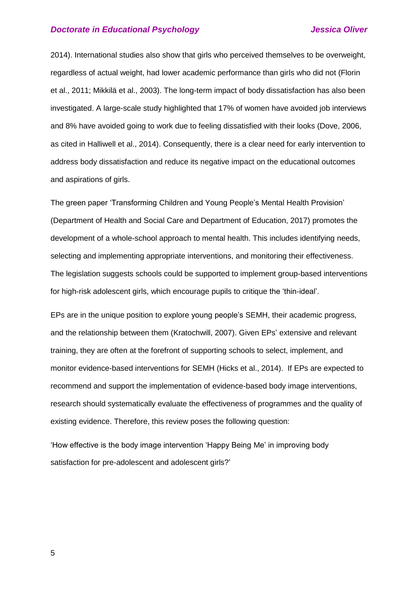2014). International studies also show that girls who perceived themselves to be overweight, regardless of actual weight, had lower academic performance than girls who did not (Florin et al., 2011; Mikkilä et al., 2003). The long-term impact of body dissatisfaction has also been investigated. A large-scale study highlighted that 17% of women have avoided job interviews and 8% have avoided going to work due to feeling dissatisfied with their looks (Dove, 2006, as cited in Halliwell et al., 2014). Consequently, there is a clear need for early intervention to address body dissatisfaction and reduce its negative impact on the educational outcomes and aspirations of girls.

The green paper 'Transforming Children and Young People's Mental Health Provision' (Department of Health and Social Care and Department of Education, 2017) promotes the development of a whole-school approach to mental health. This includes identifying needs, selecting and implementing appropriate interventions, and monitoring their effectiveness. The legislation suggests schools could be supported to implement group-based interventions for high-risk adolescent girls, which encourage pupils to critique the 'thin-ideal'.

EPs are in the unique position to explore young people's SEMH, their academic progress, and the relationship between them (Kratochwill, 2007). Given EPs' extensive and relevant training, they are often at the forefront of supporting schools to select, implement, and monitor evidence-based interventions for SEMH (Hicks et al., 2014). If EPs are expected to recommend and support the implementation of evidence-based body image interventions, research should systematically evaluate the effectiveness of programmes and the quality of existing evidence. Therefore, this review poses the following question:

'How effective is the body image intervention 'Happy Being Me' in improving body satisfaction for pre-adolescent and adolescent girls?'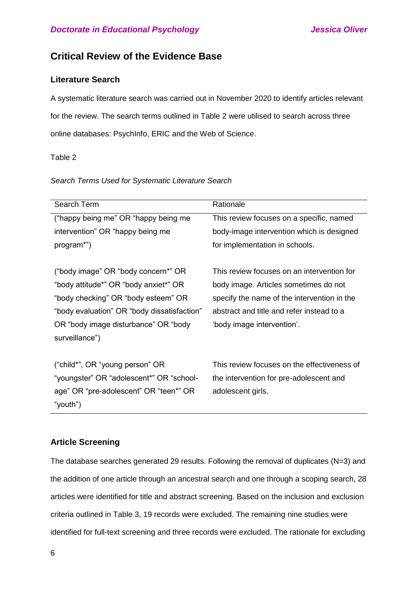## **Critical Review of the Evidence Base**

## **Literature Search**

A systematic literature search was carried out in November 2020 to identify articles relevant for the review. The search terms outlined in Table 2 were utilised to search across three online databases: PsychInfo, ERIC and the Web of Science.

## Table 2

### *Search Terms Used for Systematic Literature Search*

| Search Term                                 | Rationale                                   |
|---------------------------------------------|---------------------------------------------|
| ("happy being me" OR "happy being me        | This review focuses on a specific, named    |
| intervention" OR "happy being me            | body-image intervention which is designed   |
| program*")                                  | for implementation in schools.              |
|                                             |                                             |
| ("body image" OR "body concern*" OR         | This review focuses on an intervention for  |
| "body attitude*" OR "body anxiet*" OR       | body image. Articles sometimes do not       |
| "body checking" OR "body esteem" OR         | specify the name of the intervention in the |
| "body evaluation" OR "body dissatisfaction" | abstract and title and refer instead to a   |
| OR "body image disturbance" OR "body"       | 'body image intervention'.                  |
| surveillance")                              |                                             |
|                                             |                                             |
| ("child*", OR "young person" OR             | This review focuses on the effectiveness of |
| "youngster" OR "adolescent*" OR "school-    | the intervention for pre-adolescent and     |
| age" OR "pre-adolescent" OR "teen*" OR      | adolescent girls.                           |
| "youth")                                    |                                             |

## **Article Screening**

The database searches generated 29 results. Following the removal of duplicates (N=3) and the addition of one article through an ancestral search and one through a scoping search, 28 articles were identified for title and abstract screening. Based on the inclusion and exclusion criteria outlined in Table 3, 19 records were excluded. The remaining nine studies were identified for full-text screening and three records were excluded. The rationale for excluding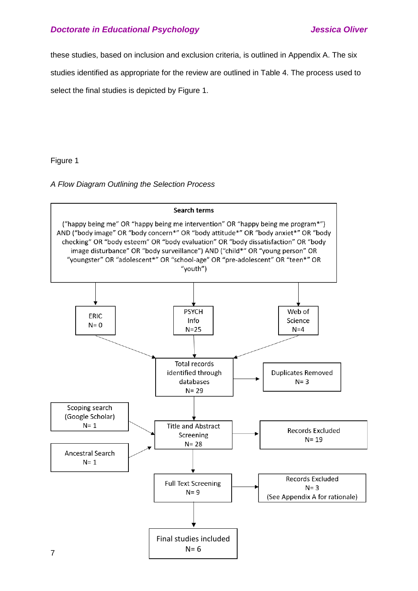these studies, based on inclusion and exclusion criteria, is outlined in Appendix A. The six

studies identified as appropriate for the review are outlined in Table 4. The process used to

select the final studies is depicted by Figure 1.

## Figure 1

*A Flow Diagram Outlining the Selection Process* 

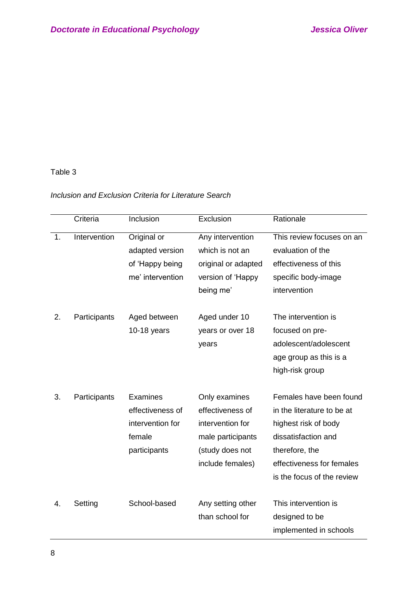## Table 3

## *Inclusion and Exclusion Criteria for Literature Search*

|    | Criteria     | Inclusion                                                                  | Exclusion                                                                                                         | Rationale                                                                                                                                                                         |
|----|--------------|----------------------------------------------------------------------------|-------------------------------------------------------------------------------------------------------------------|-----------------------------------------------------------------------------------------------------------------------------------------------------------------------------------|
| 1. | Intervention | Original or<br>adapted version<br>of 'Happy being<br>me' intervention      | Any intervention<br>which is not an<br>original or adapted<br>version of 'Happy<br>being me'                      | This review focuses on an<br>evaluation of the<br>effectiveness of this<br>specific body-image<br>intervention                                                                    |
| 2. | Participants | Aged between<br>$10-18$ years                                              | Aged under 10<br>years or over 18<br>years                                                                        | The intervention is<br>focused on pre-<br>adolescent/adolescent<br>age group as this is a<br>high-risk group                                                                      |
| 3. | Participants | Examines<br>effectiveness of<br>intervention for<br>female<br>participants | Only examines<br>effectiveness of<br>intervention for<br>male participants<br>(study does not<br>include females) | Females have been found<br>in the literature to be at<br>highest risk of body<br>dissatisfaction and<br>therefore, the<br>effectiveness for females<br>is the focus of the review |
| 4. | Setting      | School-based                                                               | Any setting other<br>than school for                                                                              | This intervention is<br>designed to be<br>implemented in schools                                                                                                                  |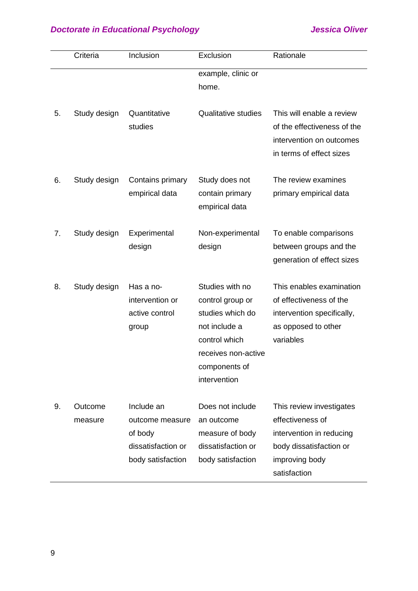|    | Criteria           | Inclusion                                                                           | Exclusion                                                                                                                                         | Rationale                                                                                                                             |
|----|--------------------|-------------------------------------------------------------------------------------|---------------------------------------------------------------------------------------------------------------------------------------------------|---------------------------------------------------------------------------------------------------------------------------------------|
|    |                    |                                                                                     | example, clinic or<br>home.                                                                                                                       |                                                                                                                                       |
| 5. | Study design       | Quantitative<br>studies                                                             | <b>Qualitative studies</b>                                                                                                                        | This will enable a review<br>of the effectiveness of the<br>intervention on outcomes<br>in terms of effect sizes                      |
| 6. | Study design       | Contains primary<br>empirical data                                                  | Study does not<br>contain primary<br>empirical data                                                                                               | The review examines<br>primary empirical data                                                                                         |
| 7. | Study design       | Experimental<br>design                                                              | Non-experimental<br>design                                                                                                                        | To enable comparisons<br>between groups and the<br>generation of effect sizes                                                         |
| 8. | Study design       | Has a no-<br>intervention or<br>active control<br>group                             | Studies with no<br>control group or<br>studies which do<br>not include a<br>control which<br>receives non-active<br>components of<br>intervention | This enables examination<br>of effectiveness of the<br>intervention specifically,<br>as opposed to other<br>variables                 |
| 9. | Outcome<br>measure | Include an<br>outcome measure<br>of body<br>dissatisfaction or<br>body satisfaction | Does not include<br>an outcome<br>measure of body<br>dissatisfaction or<br>body satisfaction                                                      | This review investigates<br>effectiveness of<br>intervention in reducing<br>body dissatisfaction or<br>improving body<br>satisfaction |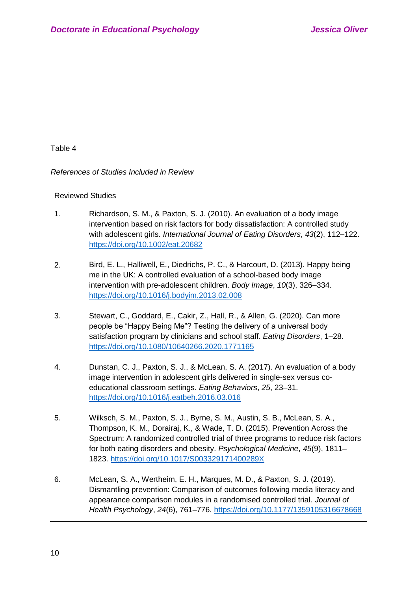Table 4

*References of Studies Included in Review*

| <b>Reviewed Studies</b> |                                                                                                                                                                                                                                                                                                                                                                                |
|-------------------------|--------------------------------------------------------------------------------------------------------------------------------------------------------------------------------------------------------------------------------------------------------------------------------------------------------------------------------------------------------------------------------|
| 1.                      | Richardson, S. M., & Paxton, S. J. (2010). An evaluation of a body image<br>intervention based on risk factors for body dissatisfaction: A controlled study<br>with adolescent girls. International Journal of Eating Disorders, 43(2), 112-122.<br>https://doi.org/10.1002/eat.20682                                                                                          |
| 2.                      | Bird, E. L., Halliwell, E., Diedrichs, P. C., & Harcourt, D. (2013). Happy being<br>me in the UK: A controlled evaluation of a school-based body image<br>intervention with pre-adolescent children. Body Image, 10(3), 326-334.<br>https://doi.org/10.1016/j.bodyim.2013.02.008                                                                                               |
| 3.                      | Stewart, C., Goddard, E., Cakir, Z., Hall, R., & Allen, G. (2020). Can more<br>people be "Happy Being Me"? Testing the delivery of a universal body<br>satisfaction program by clinicians and school staff. Eating Disorders, 1-28.<br>https://doi.org/10.1080/10640266.2020.1771165                                                                                           |
| 4.                      | Dunstan, C. J., Paxton, S. J., & McLean, S. A. (2017). An evaluation of a body<br>image intervention in adolescent girls delivered in single-sex versus co-<br>educational classroom settings. Eating Behaviors, 25, 23-31.<br>https://doi.org/10.1016/j.eatbeh.2016.03.016                                                                                                    |
| 5.                      | Wilksch, S. M., Paxton, S. J., Byrne, S. M., Austin, S. B., McLean, S. A.,<br>Thompson, K. M., Dorairaj, K., & Wade, T. D. (2015). Prevention Across the<br>Spectrum: A randomized controlled trial of three programs to reduce risk factors<br>for both eating disorders and obesity. Psychological Medicine, 45(9), 1811-<br>1823. https://doi.org/10.1017/S003329171400289X |
| 6.                      | McLean, S. A., Wertheim, E. H., Marques, M. D., & Paxton, S. J. (2019).<br>Dismantling prevention: Comparison of outcomes following media literacy and                                                                                                                                                                                                                         |

appearance comparison modules in a randomised controlled trial. *Journal of Health Psychology*, *24*(6), 761–776.<https://doi.org/10.1177/1359105316678668>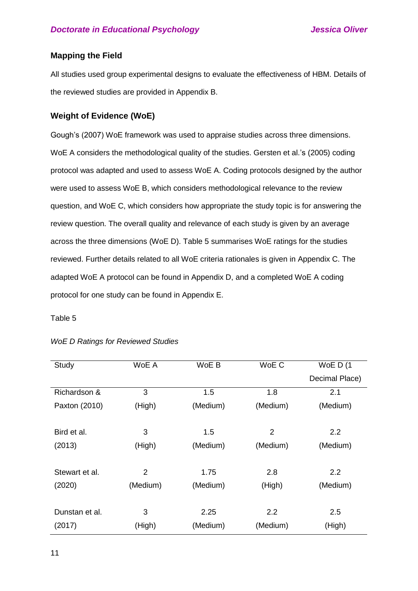## **Mapping the Field**

All studies used group experimental designs to evaluate the effectiveness of HBM. Details of the reviewed studies are provided in Appendix B.

## **Weight of Evidence (WoE)**

Gough's (2007) WoE framework was used to appraise studies across three dimensions. WoE A considers the methodological quality of the studies. Gersten et al.'s (2005) coding protocol was adapted and used to assess WoE A. Coding protocols designed by the author were used to assess WoE B, which considers methodological relevance to the review question, and WoE C, which considers how appropriate the study topic is for answering the review question. The overall quality and relevance of each study is given by an average across the three dimensions (WoE D). Table 5 summarises WoE ratings for the studies reviewed. Further details related to all WoE criteria rationales is given in Appendix C. The adapted WoE A protocol can be found in Appendix D, and a completed WoE A coding protocol for one study can be found in Appendix E.

## Table 5

| Study          | WoE A          | WoE B    | WoE C          | WoE $D(1)$     |
|----------------|----------------|----------|----------------|----------------|
|                |                |          |                | Decimal Place) |
| Richardson &   | 3              | 1.5      | 1.8            | 2.1            |
| Paxton (2010)  | (High)         | (Medium) | (Medium)       | (Medium)       |
|                |                |          |                |                |
| Bird et al.    | 3              | 1.5      | $\overline{2}$ | 2.2            |
| (2013)         | (High)         | (Medium) | (Medium)       | (Medium)       |
|                |                |          |                |                |
| Stewart et al. | $\overline{2}$ | 1.75     | 2.8            | 2.2            |
| (2020)         | (Medium)       | (Medium) | (High)         | (Medium)       |
|                |                |          |                |                |
| Dunstan et al. | 3              | 2.25     | 2.2            | 2.5            |
| (2017)         | (High)         | (Medium) | (Medium)       | (High)         |
|                |                |          |                |                |

## *WoE D Ratings for Reviewed Studies*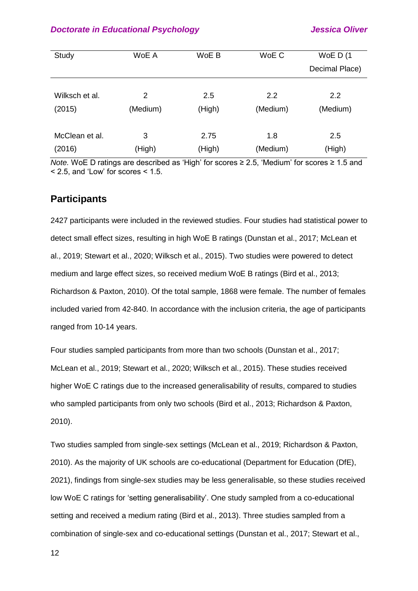| Study          | WoE A    | WoE B  | WoE C    | WoE $D(1)$<br>Decimal Place) |
|----------------|----------|--------|----------|------------------------------|
| Wilksch et al. | 2        | 2.5    | 2.2      | $2.2^{\circ}$                |
| (2015)         | (Medium) | (High) | (Medium) | (Medium)                     |
| McClean et al. | 3        | 2.75   | 1.8      | 2.5                          |
| (2016)         | (High)   | (High) | (Medium) | (High)                       |

*Note.* WoE D ratings are described as 'High' for scores ≥ 2.5, 'Medium' for scores ≥ 1.5 and  $<$  2.5, and 'Low' for scores  $<$  1.5.

## **Participants**

2427 participants were included in the reviewed studies. Four studies had statistical power to detect small effect sizes, resulting in high WoE B ratings (Dunstan et al., 2017; McLean et al., 2019; Stewart et al., 2020; Wilksch et al., 2015). Two studies were powered to detect medium and large effect sizes, so received medium WoE B ratings (Bird et al., 2013; Richardson & Paxton, 2010). Of the total sample, 1868 were female. The number of females included varied from 42-840. In accordance with the inclusion criteria, the age of participants ranged from 10-14 years.

Four studies sampled participants from more than two schools (Dunstan et al., 2017; McLean et al., 2019; Stewart et al., 2020; Wilksch et al., 2015). These studies received higher WoE C ratings due to the increased generalisability of results, compared to studies who sampled participants from only two schools (Bird et al., 2013; Richardson & Paxton, 2010).

Two studies sampled from single-sex settings (McLean et al., 2019; Richardson & Paxton, 2010). As the majority of UK schools are co-educational (Department for Education (DfE), 2021), findings from single-sex studies may be less generalisable, so these studies received low WoE C ratings for 'setting generalisability'. One study sampled from a co-educational setting and received a medium rating (Bird et al., 2013). Three studies sampled from a combination of single-sex and co-educational settings (Dunstan et al., 2017; Stewart et al.,

12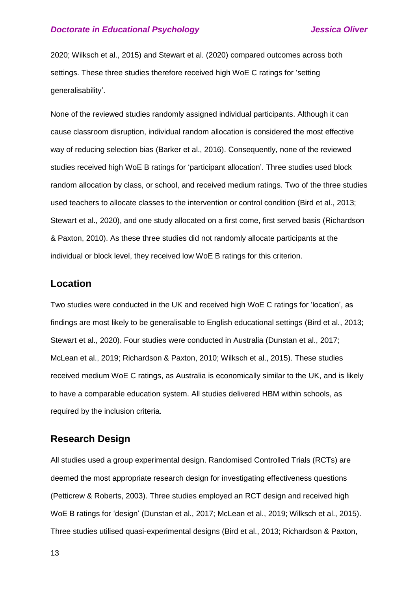2020; Wilksch et al., 2015) and Stewart et al. (2020) compared outcomes across both settings. These three studies therefore received high WoE C ratings for 'setting generalisability'.

None of the reviewed studies randomly assigned individual participants. Although it can cause classroom disruption, individual random allocation is considered the most effective way of reducing selection bias (Barker et al., 2016). Consequently, none of the reviewed studies received high WoE B ratings for 'participant allocation'. Three studies used block random allocation by class, or school, and received medium ratings. Two of the three studies used teachers to allocate classes to the intervention or control condition (Bird et al., 2013; Stewart et al., 2020), and one study allocated on a first come, first served basis (Richardson & Paxton, 2010). As these three studies did not randomly allocate participants at the individual or block level, they received low WoE B ratings for this criterion.

## **Location**

Two studies were conducted in the UK and received high WoE C ratings for 'location', as findings are most likely to be generalisable to English educational settings (Bird et al., 2013; Stewart et al., 2020). Four studies were conducted in Australia (Dunstan et al., 2017; McLean et al., 2019; Richardson & Paxton, 2010; Wilksch et al., 2015). These studies received medium WoE C ratings, as Australia is economically similar to the UK, and is likely to have a comparable education system. All studies delivered HBM within schools, as required by the inclusion criteria.

## **Research Design**

All studies used a group experimental design. Randomised Controlled Trials (RCTs) are deemed the most appropriate research design for investigating effectiveness questions (Petticrew & Roberts, 2003). Three studies employed an RCT design and received high WoE B ratings for 'design' (Dunstan et al., 2017; McLean et al., 2019; Wilksch et al., 2015). Three studies utilised quasi-experimental designs (Bird et al., 2013; Richardson & Paxton,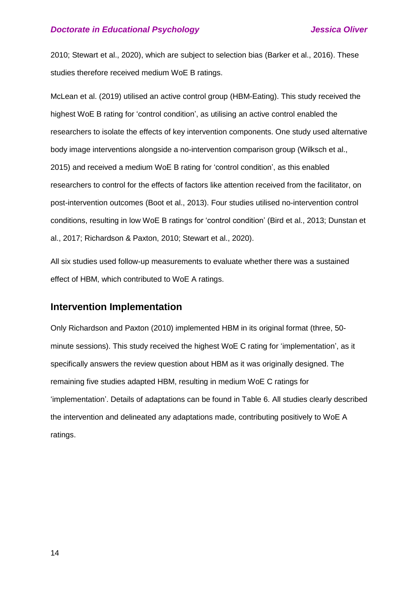2010; Stewart et al., 2020), which are subject to selection bias (Barker et al., 2016). These studies therefore received medium WoE B ratings.

McLean et al. (2019) utilised an active control group (HBM-Eating). This study received the highest WoE B rating for 'control condition', as utilising an active control enabled the researchers to isolate the effects of key intervention components. One study used alternative body image interventions alongside a no-intervention comparison group (Wilksch et al., 2015) and received a medium WoE B rating for 'control condition', as this enabled researchers to control for the effects of factors like attention received from the facilitator, on post-intervention outcomes (Boot et al., 2013). Four studies utilised no-intervention control conditions, resulting in low WoE B ratings for 'control condition' (Bird et al., 2013; Dunstan et al., 2017; Richardson & Paxton, 2010; Stewart et al., 2020).

All six studies used follow-up measurements to evaluate whether there was a sustained effect of HBM, which contributed to WoE A ratings.

## **Intervention Implementation**

Only Richardson and Paxton (2010) implemented HBM in its original format (three, 50 minute sessions). This study received the highest WoE C rating for 'implementation', as it specifically answers the review question about HBM as it was originally designed. The remaining five studies adapted HBM, resulting in medium WoE C ratings for 'implementation'. Details of adaptations can be found in Table 6. All studies clearly described the intervention and delineated any adaptations made, contributing positively to WoE A ratings.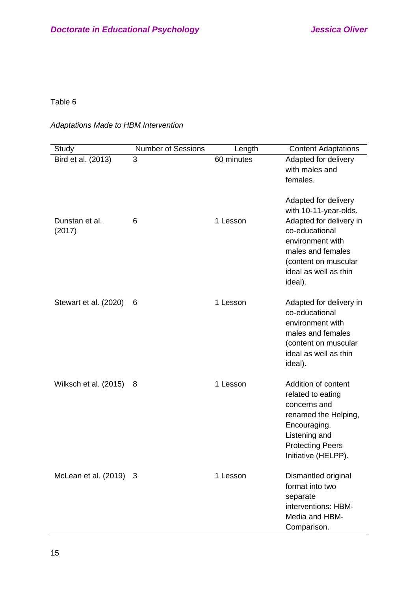## Table 6

## *Adaptations Made to HBM Intervention*

| Study                    | <b>Number of Sessions</b> | Length     | <b>Content Adaptations</b>                                                                                                                                                                      |
|--------------------------|---------------------------|------------|-------------------------------------------------------------------------------------------------------------------------------------------------------------------------------------------------|
| Bird et al. (2013)       | 3                         | 60 minutes | Adapted for delivery<br>with males and<br>females.                                                                                                                                              |
| Dunstan et al.<br>(2017) | 6                         | 1 Lesson   | Adapted for delivery<br>with 10-11-year-olds.<br>Adapted for delivery in<br>co-educational<br>environment with<br>males and females<br>(content on muscular<br>ideal as well as thin<br>ideal). |
| Stewart et al. (2020)    | 6                         | 1 Lesson   | Adapted for delivery in<br>co-educational<br>environment with<br>males and females<br>(content on muscular<br>ideal as well as thin<br>ideal).                                                  |
| Wilksch et al. (2015)    | 8                         | 1 Lesson   | Addition of content<br>related to eating<br>concerns and<br>renamed the Helping,<br>Encouraging,<br>Listening and<br><b>Protecting Peers</b><br>Initiative (HELPP).                             |
| McLean et al. (2019) 3   |                           | 1 Lesson   | Dismantled original<br>format into two<br>separate<br>interventions: HBM-<br>Media and HBM-<br>Comparison.                                                                                      |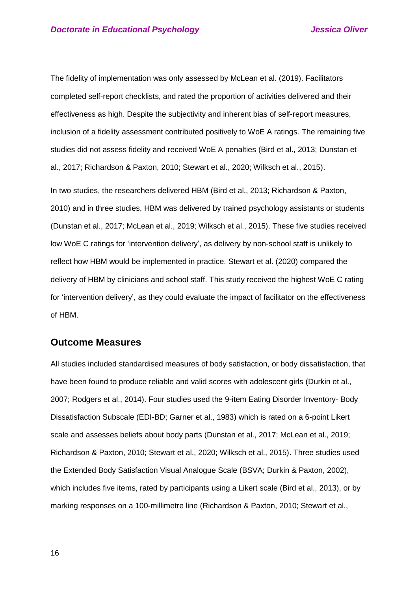The fidelity of implementation was only assessed by McLean et al. (2019). Facilitators completed self-report checklists, and rated the proportion of activities delivered and their effectiveness as high. Despite the subjectivity and inherent bias of self-report measures, inclusion of a fidelity assessment contributed positively to WoE A ratings. The remaining five studies did not assess fidelity and received WoE A penalties (Bird et al., 2013; Dunstan et al., 2017; Richardson & Paxton, 2010; Stewart et al., 2020; Wilksch et al., 2015).

In two studies, the researchers delivered HBM (Bird et al., 2013; Richardson & Paxton, 2010) and in three studies, HBM was delivered by trained psychology assistants or students (Dunstan et al., 2017; McLean et al., 2019; Wilksch et al., 2015). These five studies received low WoE C ratings for 'intervention delivery', as delivery by non-school staff is unlikely to reflect how HBM would be implemented in practice. Stewart et al. (2020) compared the delivery of HBM by clinicians and school staff. This study received the highest WoE C rating for 'intervention delivery', as they could evaluate the impact of facilitator on the effectiveness of HBM.

## **Outcome Measures**

All studies included standardised measures of body satisfaction, or body dissatisfaction, that have been found to produce reliable and valid scores with adolescent girls (Durkin et al., 2007; Rodgers et al., 2014). Four studies used the 9-item Eating Disorder Inventory- Body Dissatisfaction Subscale (EDI-BD; Garner et al., 1983) which is rated on a 6-point Likert scale and assesses beliefs about body parts (Dunstan et al., 2017; McLean et al., 2019; Richardson & Paxton, 2010; Stewart et al., 2020; Wilksch et al., 2015). Three studies used the Extended Body Satisfaction Visual Analogue Scale (BSVA; Durkin & Paxton, 2002), which includes five items, rated by participants using a Likert scale (Bird et al., 2013), or by marking responses on a 100-millimetre line (Richardson & Paxton, 2010; Stewart et al.,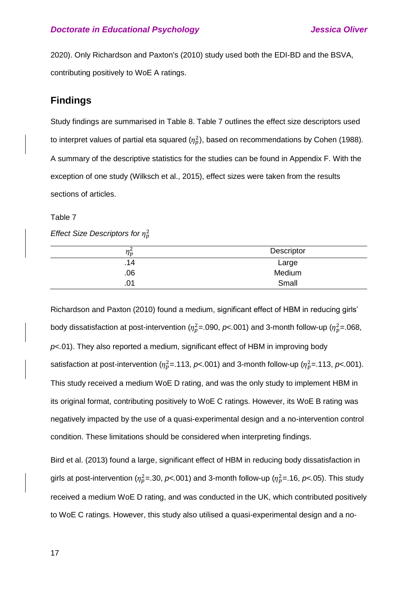2020). Only Richardson and Paxton's (2010) study used both the EDI-BD and the BSVA, contributing positively to WoE A ratings.

## **Findings**

Study findings are summarised in Table 8. Table 7 outlines the effect size descriptors used to interpret values of partial eta squared ( $\eta_p^2$ ), based on recommendations by Cohen (1988). A summary of the descriptive statistics for the studies can be found in Appendix F. With the exception of one study (Wilksch et al., 2015), effect sizes were taken from the results sections of articles.

### Table 7

*Effect Size Descriptors for*  $\eta_p^2$ 

| $\eta_p^2$ | Descriptor |
|------------|------------|
| .14        | Large      |
| .06        | Medium     |
| .01        | Small      |

Richardson and Paxton (2010) found a medium, significant effect of HBM in reducing girls' body dissatisfaction at post-intervention ( $\eta_p^2$ =.090,  $p$ <.001) and 3-month follow-up ( $\eta_p^2$ =.068, *p*<*.*01). They also reported a medium, significant effect of HBM in improving body satisfaction at post-intervention ( $\eta_p^2$ =.113,  $p$ <.001) and 3-month follow-up ( $\eta_p^2$ =.113,  $p$ <.001). This study received a medium WoE D rating, and was the only study to implement HBM in its original format, contributing positively to WoE C ratings. However, its WoE B rating was negatively impacted by the use of a quasi-experimental design and a no-intervention control condition. These limitations should be considered when interpreting findings.

Bird et al. (2013) found a large, significant effect of HBM in reducing body dissatisfaction in girls at post-intervention ( $\eta_p^2$ =.30,  $p$ <.001) and 3-month follow-up ( $\eta_p^2$ =.16,  $p$ <.05). This study received a medium WoE D rating, and was conducted in the UK, which contributed positively to WoE C ratings. However, this study also utilised a quasi-experimental design and a no-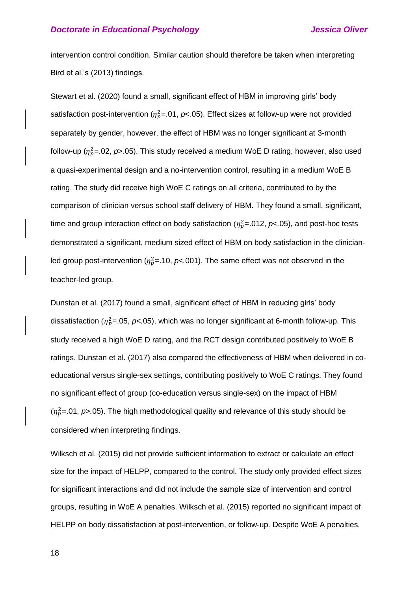intervention control condition. Similar caution should therefore be taken when interpreting Bird et al.'s (2013) findings.

Stewart et al. (2020) found a small, significant effect of HBM in improving girls' body satisfaction post-intervention ( $\eta_p^2$ =.01,  $p$ <.05). Effect sizes at follow-up were not provided separately by gender, however, the effect of HBM was no longer significant at 3-month follow-up ( $\eta_p^2$ =.02,  $p$ >.05). This study received a medium WoE D rating, however, also used a quasi-experimental design and a no-intervention control, resulting in a medium WoE B rating. The study did receive high WoE C ratings on all criteria, contributed to by the comparison of clinician versus school staff delivery of HBM. They found a small, significant, time and group interaction effect on body satisfaction  $(\eta_p^2 = 012, p < 05)$ , and post-hoc tests demonstrated a significant, medium sized effect of HBM on body satisfaction in the clinicianled group post-intervention ( $\eta_p^2$ =.10,  $p$ <.001). The same effect was not observed in the teacher-led group.

Dunstan et al. (2017) found a small, significant effect of HBM in reducing girls' body dissatisfaction ( <sup>2</sup>=.05, *p*<*.*05), which was no longer significant at 6-month follow-up. This study received a high WoE D rating, and the RCT design contributed positively to WoE B ratings. Dunstan et al. (2017) also compared the effectiveness of HBM when delivered in coeducational versus single-sex settings, contributing positively to WoE C ratings. They found no significant effect of group (co-education versus single-sex) on the impact of HBM  $(\eta_p^2 = 01, p > 05)$ . The high methodological quality and relevance of this study should be considered when interpreting findings.

Wilksch et al. (2015) did not provide sufficient information to extract or calculate an effect size for the impact of HELPP, compared to the control. The study only provided effect sizes for significant interactions and did not include the sample size of intervention and control groups, resulting in WoE A penalties. Wilksch et al. (2015) reported no significant impact of HELPP on body dissatisfaction at post-intervention, or follow-up. Despite WoE A penalties,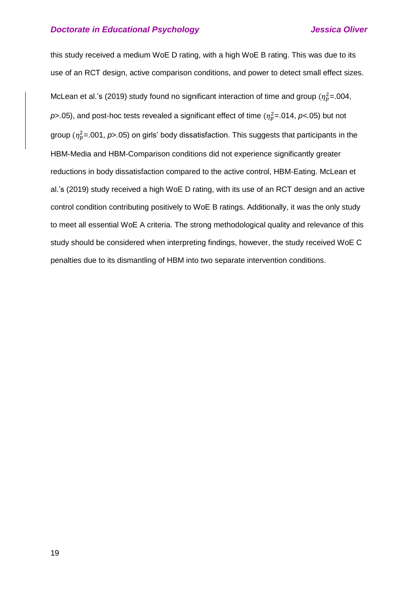this study received a medium WoE D rating, with a high WoE B rating. This was due to its use of an RCT design, active comparison conditions, and power to detect small effect sizes. McLean et al.'s (2019) study found no significant interaction of time and group ( $\eta_p^2$ =.004,  $p$ >.05), and post-hoc tests revealed a significant effect of time ( $\eta_p^2$ =.014,  $p$ <.05) but not group ( <sup>2</sup>=.001, *p*>*.*05) on girls' body dissatisfaction. This suggests that participants in the HBM-Media and HBM-Comparison conditions did not experience significantly greater reductions in body dissatisfaction compared to the active control, HBM-Eating. McLean et al.'s (2019) study received a high WoE D rating, with its use of an RCT design and an active control condition contributing positively to WoE B ratings. Additionally, it was the only study to meet all essential WoE A criteria. The strong methodological quality and relevance of this study should be considered when interpreting findings, however, the study received WoE C penalties due to its dismantling of HBM into two separate intervention conditions.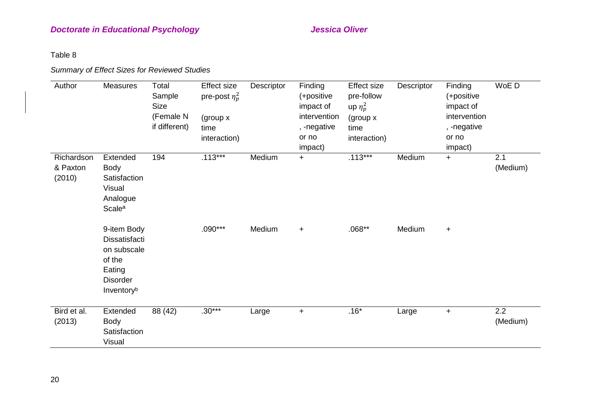Table 8

## *Summary of Effect Sizes for Reviewed Studies*

| Author                           | Measures                                                                                         | Total<br>Sample<br><b>Size</b><br>(Female N<br>if different) | <b>Effect size</b><br>pre-post $\eta_p^2$<br>(group x<br>time<br>interaction) | Descriptor | Finding<br>(+positive<br>impact of<br>intervention<br>, -negative<br>or no<br>impact) | <b>Effect size</b><br>pre-follow<br>up $\eta_p^2$<br>(group x)<br>time<br>interaction) | Descriptor | Finding<br>(+positive<br>impact of<br>intervention<br>, -negative<br>or no<br>impact) | WoE D           |
|----------------------------------|--------------------------------------------------------------------------------------------------|--------------------------------------------------------------|-------------------------------------------------------------------------------|------------|---------------------------------------------------------------------------------------|----------------------------------------------------------------------------------------|------------|---------------------------------------------------------------------------------------|-----------------|
| Richardson<br>& Paxton<br>(2010) | Extended<br><b>Body</b><br>Satisfaction<br>Visual<br>Analogue<br>Scale <sup>a</sup>              | 194                                                          | $.113***$                                                                     | Medium     | $+$                                                                                   | $.113***$                                                                              | Medium     | $+$                                                                                   | 2.1<br>(Medium) |
|                                  | 9-item Body<br>Dissatisfacti<br>on subscale<br>of the<br>Eating<br><b>Disorder</b><br>Inventoryb |                                                              | $.090***$                                                                     | Medium     | $\ddot{}$                                                                             | $.068**$                                                                               | Medium     | $+$                                                                                   |                 |
| Bird et al.<br>(2013)            | Extended<br><b>Body</b><br>Satisfaction<br>Visual                                                | 88 (42)                                                      | $.30***$                                                                      | Large      | $\ddot{}$                                                                             | $.16*$                                                                                 | Large      | $+$                                                                                   | 2.2<br>(Medium) |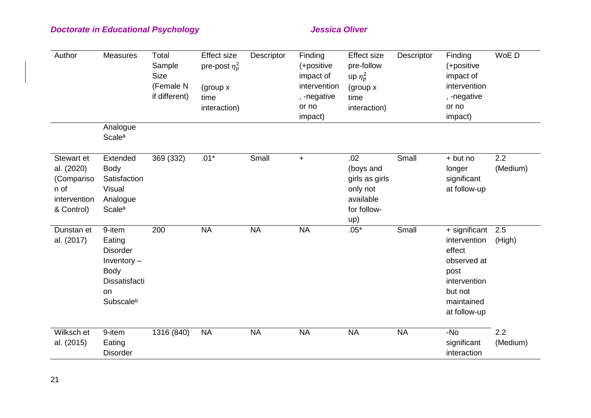| Author                                                                       | Measures                                                                                                              | Total<br>Sample<br><b>Size</b><br>(Female N<br>if different) | <b>Effect size</b><br>pre-post $\eta_p^2$<br>(group x)<br>time<br>interaction) | Descriptor | Finding<br>(+positive<br>impact of<br>intervention<br>, -negative<br>or no<br>impact) | <b>Effect size</b><br>pre-follow<br>up $\eta_p^2$<br>(group $x$<br>time<br>interaction) | Descriptor | Finding<br>(+positive<br>impact of<br>intervention<br>, -negative<br>or no<br>impact)                                   | WoE D           |
|------------------------------------------------------------------------------|-----------------------------------------------------------------------------------------------------------------------|--------------------------------------------------------------|--------------------------------------------------------------------------------|------------|---------------------------------------------------------------------------------------|-----------------------------------------------------------------------------------------|------------|-------------------------------------------------------------------------------------------------------------------------|-----------------|
|                                                                              | Analogue<br><b>Scale<sup>a</sup></b>                                                                                  |                                                              |                                                                                |            |                                                                                       |                                                                                         |            |                                                                                                                         |                 |
| Stewart et<br>al. (2020)<br>(Compariso<br>n of<br>intervention<br>& Control) | Extended<br>Body<br>Satisfaction<br>Visual<br>Analogue<br><b>Scale<sup>a</sup></b>                                    | 369 (332)                                                    | $.01*$                                                                         | Small      | $\ddot{}$                                                                             | .02<br>(boys and<br>girls as girls<br>only not<br>available<br>for follow-<br>up)       | Small      | + but no<br>longer<br>significant<br>at follow-up                                                                       | 2.2<br>(Medium) |
| Dunstan et<br>al. (2017)                                                     | 9-item<br>Eating<br><b>Disorder</b><br>Inventory $-$<br><b>Body</b><br><b>Dissatisfacti</b><br><b>on</b><br>Subscaleb | 200                                                          | <b>NA</b>                                                                      | <b>NA</b>  | <b>NA</b>                                                                             | $.05*$                                                                                  | Small      | + significant<br>intervention<br>effect<br>observed at<br>post<br>intervention<br>but not<br>maintained<br>at follow-up | 2.5<br>(High)   |
| Wilksch et<br>al. (2015)                                                     | 9-item<br>Eating<br><b>Disorder</b>                                                                                   | 1316 (840)                                                   | <b>NA</b>                                                                      | <b>NA</b>  | <b>NA</b>                                                                             | <b>NA</b>                                                                               | <b>NA</b>  | -No<br>significant<br>interaction                                                                                       | 2.2<br>(Medium) |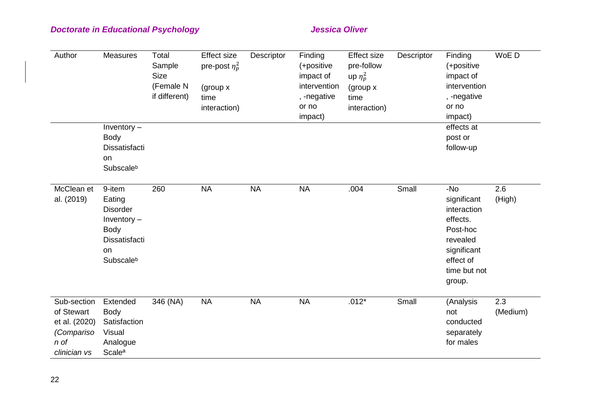| Author                                                                           | <b>Measures</b>                                                                                  | Total<br>Sample<br><b>Size</b><br>(Female N<br>if different) | <b>Effect size</b><br>pre-post $\eta_p^2$<br>(group x<br>time<br>interaction) | Descriptor | Finding<br>(+positive<br>impact of<br>intervention<br>, -negative<br>or no<br>impact) | <b>Effect size</b><br>pre-follow<br>up $\eta_p^2$<br>(group x)<br>time<br>interaction) | Descriptor | Finding<br>(+positive<br>impact of<br>intervention<br>, -negative<br>or no<br>impact)                                       | WoE D           |
|----------------------------------------------------------------------------------|--------------------------------------------------------------------------------------------------|--------------------------------------------------------------|-------------------------------------------------------------------------------|------------|---------------------------------------------------------------------------------------|----------------------------------------------------------------------------------------|------------|-----------------------------------------------------------------------------------------------------------------------------|-----------------|
|                                                                                  | Inventory $-$<br>Body<br>Dissatisfacti<br>on<br>Subscaleb                                        |                                                              |                                                                               |            |                                                                                       |                                                                                        |            | effects at<br>post or<br>follow-up                                                                                          |                 |
| McClean et<br>al. (2019)                                                         | 9-item<br>Eating<br><b>Disorder</b><br>Inventory $-$<br>Body<br>Dissatisfacti<br>on<br>Subscaleb | 260                                                          | <b>NA</b>                                                                     | <b>NA</b>  | <b>NA</b>                                                                             | .004                                                                                   | Small      | -No<br>significant<br>interaction<br>effects.<br>Post-hoc<br>revealed<br>significant<br>effect of<br>time but not<br>group. | 2.6<br>(High)   |
| Sub-section<br>of Stewart<br>et al. (2020)<br>(Compariso<br>n of<br>clinician vs | Extended<br>Body<br>Satisfaction<br>Visual<br>Analogue<br><b>Scale<sup>a</sup></b>               | 346 (NA)                                                     | <b>NA</b>                                                                     | <b>NA</b>  | <b>NA</b>                                                                             | $.012*$                                                                                | Small      | (Analysis<br>not<br>conducted<br>separately<br>for males                                                                    | 2.3<br>(Medium) |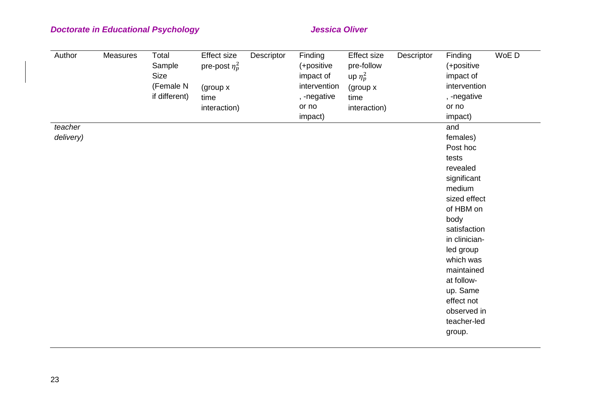| Author    | Measures | Total<br>Sample | Effect size<br>pre-post $\eta_p^2$ | Descriptor | Finding<br>(+positive | <b>Effect size</b><br>pre-follow | Descriptor | Finding<br>(+positive | WoE D |
|-----------|----------|-----------------|------------------------------------|------------|-----------------------|----------------------------------|------------|-----------------------|-------|
|           |          | Size            |                                    |            | impact of             | up $\eta_p^2$                    |            | impact of             |       |
|           |          | (Female N       | (group x                           |            | intervention          | (group x                         |            | intervention          |       |
|           |          | if different)   | time                               |            | , -negative           | time                             |            | , -negative           |       |
|           |          |                 | interaction)                       |            | or no                 | interaction)                     |            | or no                 |       |
|           |          |                 |                                    |            | impact)               |                                  |            | impact)               |       |
| teacher   |          |                 |                                    |            |                       |                                  |            | and                   |       |
| delivery) |          |                 |                                    |            |                       |                                  |            | females)              |       |
|           |          |                 |                                    |            |                       |                                  |            | Post hoc              |       |
|           |          |                 |                                    |            |                       |                                  |            | tests                 |       |
|           |          |                 |                                    |            |                       |                                  |            | revealed              |       |
|           |          |                 |                                    |            |                       |                                  |            | significant           |       |
|           |          |                 |                                    |            |                       |                                  |            | medium                |       |
|           |          |                 |                                    |            |                       |                                  |            | sized effect          |       |
|           |          |                 |                                    |            |                       |                                  |            | of HBM on             |       |
|           |          |                 |                                    |            |                       |                                  |            | body                  |       |
|           |          |                 |                                    |            |                       |                                  |            | satisfaction          |       |
|           |          |                 |                                    |            |                       |                                  |            | in clinician-         |       |
|           |          |                 |                                    |            |                       |                                  |            | led group             |       |
|           |          |                 |                                    |            |                       |                                  |            | which was             |       |
|           |          |                 |                                    |            |                       |                                  |            | maintained            |       |
|           |          |                 |                                    |            |                       |                                  |            | at follow-            |       |
|           |          |                 |                                    |            |                       |                                  |            | up. Same              |       |
|           |          |                 |                                    |            |                       |                                  |            | effect not            |       |
|           |          |                 |                                    |            |                       |                                  |            | observed in           |       |
|           |          |                 |                                    |            |                       |                                  |            | teacher-led           |       |
|           |          |                 |                                    |            |                       |                                  |            | group.                |       |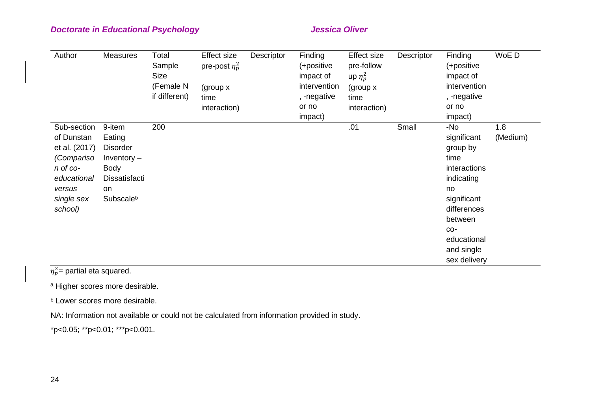| Author                                                                                                                 | <b>Measures</b>                                                                                  | Total<br>Sample<br>Size<br>(Female N<br>if different) | <b>Effect size</b><br>pre-post $\eta_p^2$<br>(group x)<br>time<br>interaction) | Descriptor | Finding<br>(+positive<br>impact of<br>intervention<br>, -negative<br>or no<br>impact) | <b>Effect size</b><br>pre-follow<br>up $\eta_p^2$<br>(group x<br>time<br>interaction) | Descriptor | Finding<br>(+positive<br>impact of<br>intervention<br>, -negative<br>or no<br>impact)                                                                                   | WoE D           |
|------------------------------------------------------------------------------------------------------------------------|--------------------------------------------------------------------------------------------------|-------------------------------------------------------|--------------------------------------------------------------------------------|------------|---------------------------------------------------------------------------------------|---------------------------------------------------------------------------------------|------------|-------------------------------------------------------------------------------------------------------------------------------------------------------------------------|-----------------|
| Sub-section<br>of Dunstan<br>et al. (2017)<br>(Compariso<br>n of co-<br>educational<br>versus<br>single sex<br>school) | 9-item<br>Eating<br><b>Disorder</b><br>Inventory $-$<br>Body<br>Dissatisfacti<br>on<br>Subscaleb | 200                                                   |                                                                                |            |                                                                                       | .01                                                                                   | Small      | -No<br>significant<br>group by<br>time<br>interactions<br>indicating<br>no<br>significant<br>differences<br>between<br>CO-<br>educational<br>and single<br>sex delivery | 1.8<br>(Medium) |

 $\eta_p^2$ = partial eta squared.

a Higher scores more desirable.

**b** Lower scores more desirable.

NA: Information not available or could not be calculated from information provided in study.

\*p<0.05; \*\*p<0.01; \*\*\*p<0.001.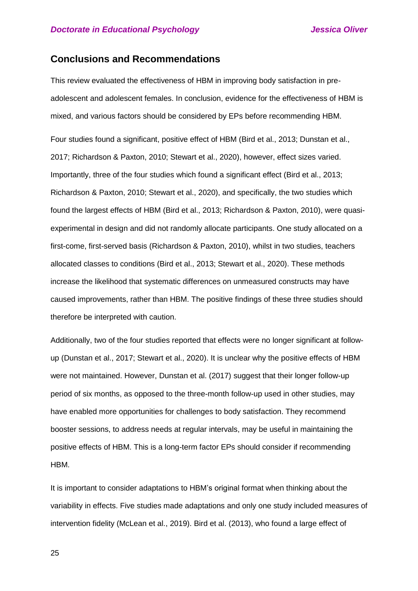## **Conclusions and Recommendations**

This review evaluated the effectiveness of HBM in improving body satisfaction in preadolescent and adolescent females. In conclusion, evidence for the effectiveness of HBM is mixed, and various factors should be considered by EPs before recommending HBM.

Four studies found a significant, positive effect of HBM (Bird et al., 2013; Dunstan et al., 2017; Richardson & Paxton, 2010; Stewart et al., 2020), however, effect sizes varied. Importantly, three of the four studies which found a significant effect (Bird et al., 2013; Richardson & Paxton, 2010; Stewart et al., 2020), and specifically, the two studies which found the largest effects of HBM (Bird et al., 2013; Richardson & Paxton, 2010), were quasiexperimental in design and did not randomly allocate participants. One study allocated on a first-come, first-served basis (Richardson & Paxton, 2010), whilst in two studies, teachers allocated classes to conditions (Bird et al., 2013; Stewart et al., 2020). These methods increase the likelihood that systematic differences on unmeasured constructs may have caused improvements, rather than HBM. The positive findings of these three studies should therefore be interpreted with caution.

Additionally, two of the four studies reported that effects were no longer significant at followup (Dunstan et al., 2017; Stewart et al., 2020). It is unclear why the positive effects of HBM were not maintained. However, Dunstan et al. (2017) suggest that their longer follow-up period of six months, as opposed to the three-month follow-up used in other studies, may have enabled more opportunities for challenges to body satisfaction. They recommend booster sessions, to address needs at regular intervals, may be useful in maintaining the positive effects of HBM. This is a long-term factor EPs should consider if recommending HBM.

It is important to consider adaptations to HBM's original format when thinking about the variability in effects. Five studies made adaptations and only one study included measures of intervention fidelity (McLean et al., 2019). Bird et al. (2013), who found a large effect of

25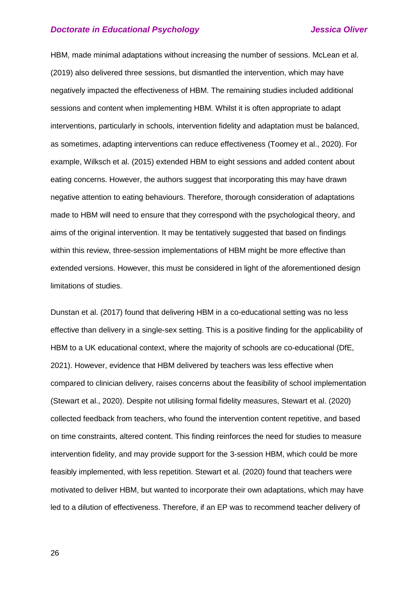HBM, made minimal adaptations without increasing the number of sessions. McLean et al. (2019) also delivered three sessions, but dismantled the intervention, which may have negatively impacted the effectiveness of HBM. The remaining studies included additional sessions and content when implementing HBM. Whilst it is often appropriate to adapt interventions, particularly in schools, intervention fidelity and adaptation must be balanced, as sometimes, adapting interventions can reduce effectiveness (Toomey et al., 2020). For example, Wilksch et al. (2015) extended HBM to eight sessions and added content about eating concerns. However, the authors suggest that incorporating this may have drawn negative attention to eating behaviours. Therefore, thorough consideration of adaptations made to HBM will need to ensure that they correspond with the psychological theory, and aims of the original intervention. It may be tentatively suggested that based on findings within this review, three-session implementations of HBM might be more effective than extended versions. However, this must be considered in light of the aforementioned design limitations of studies.

Dunstan et al. (2017) found that delivering HBM in a co-educational setting was no less effective than delivery in a single-sex setting. This is a positive finding for the applicability of HBM to a UK educational context, where the majority of schools are co-educational (DfE, 2021). However, evidence that HBM delivered by teachers was less effective when compared to clinician delivery, raises concerns about the feasibility of school implementation (Stewart et al., 2020). Despite not utilising formal fidelity measures, Stewart et al. (2020) collected feedback from teachers, who found the intervention content repetitive, and based on time constraints, altered content. This finding reinforces the need for studies to measure intervention fidelity, and may provide support for the 3-session HBM, which could be more feasibly implemented, with less repetition. Stewart et al. (2020) found that teachers were motivated to deliver HBM, but wanted to incorporate their own adaptations, which may have led to a dilution of effectiveness. Therefore, if an EP was to recommend teacher delivery of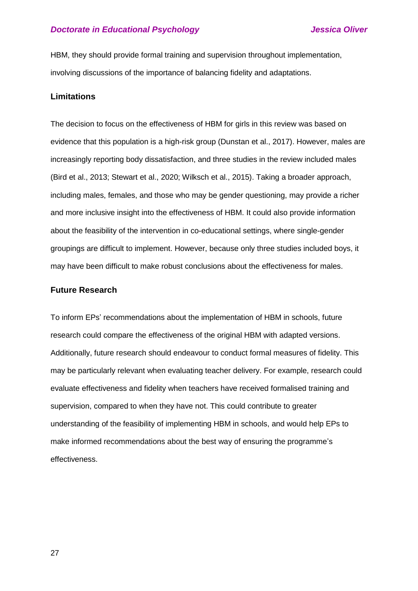HBM, they should provide formal training and supervision throughout implementation, involving discussions of the importance of balancing fidelity and adaptations.

## **Limitations**

The decision to focus on the effectiveness of HBM for girls in this review was based on evidence that this population is a high-risk group (Dunstan et al., 2017). However, males are increasingly reporting body dissatisfaction, and three studies in the review included males (Bird et al., 2013; Stewart et al., 2020; Wilksch et al., 2015). Taking a broader approach, including males, females, and those who may be gender questioning, may provide a richer and more inclusive insight into the effectiveness of HBM. It could also provide information about the feasibility of the intervention in co-educational settings, where single-gender groupings are difficult to implement. However, because only three studies included boys, it may have been difficult to make robust conclusions about the effectiveness for males.

### **Future Research**

To inform EPs' recommendations about the implementation of HBM in schools, future research could compare the effectiveness of the original HBM with adapted versions. Additionally, future research should endeavour to conduct formal measures of fidelity. This may be particularly relevant when evaluating teacher delivery. For example, research could evaluate effectiveness and fidelity when teachers have received formalised training and supervision, compared to when they have not. This could contribute to greater understanding of the feasibility of implementing HBM in schools, and would help EPs to make informed recommendations about the best way of ensuring the programme's effectiveness.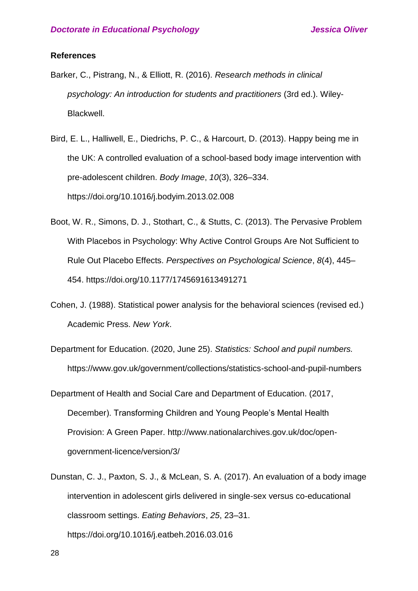### **References**

- Barker, C., Pistrang, N., & Elliott, R. (2016). *Research methods in clinical psychology: An introduction for students and practitioners* (3rd ed.). Wiley-Blackwell.
- Bird, E. L., Halliwell, E., Diedrichs, P. C., & Harcourt, D. (2013). Happy being me in the UK: A controlled evaluation of a school-based body image intervention with pre-adolescent children. *Body Image*, *10*(3), 326–334. https://doi.org/10.1016/j.bodyim.2013.02.008
- Boot, W. R., Simons, D. J., Stothart, C., & Stutts, C. (2013). The Pervasive Problem With Placebos in Psychology: Why Active Control Groups Are Not Sufficient to Rule Out Placebo Effects. *Perspectives on Psychological Science*, *8*(4), 445– 454. https://doi.org/10.1177/1745691613491271
- Cohen, J. (1988). Statistical power analysis for the behavioral sciences (revised ed.) Academic Press. *New York*.
- Department for Education. (2020, June 25). *Statistics: School and pupil numbers.* https://www.gov.uk/government/collections/statistics-school-and-pupil-numbers
- Department of Health and Social Care and Department of Education. (2017, December). Transforming Children and Young People's Mental Health Provision: A Green Paper. http://www.nationalarchives.gov.uk/doc/opengovernment-licence/version/3/
- Dunstan, C. J., Paxton, S. J., & McLean, S. A. (2017). An evaluation of a body image intervention in adolescent girls delivered in single-sex versus co-educational classroom settings. *Eating Behaviors*, *25*, 23–31. https://doi.org/10.1016/j.eatbeh.2016.03.016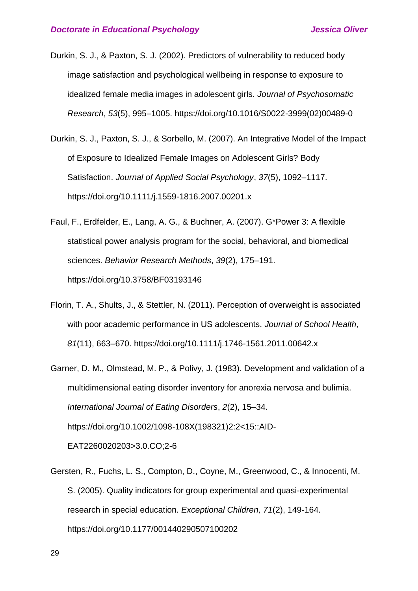- Durkin, S. J., & Paxton, S. J. (2002). Predictors of vulnerability to reduced body image satisfaction and psychological wellbeing in response to exposure to idealized female media images in adolescent girls. *Journal of Psychosomatic Research*, *53*(5), 995–1005. https://doi.org/10.1016/S0022-3999(02)00489-0
- Durkin, S. J., Paxton, S. J., & Sorbello, M. (2007). An Integrative Model of the Impact of Exposure to Idealized Female Images on Adolescent Girls? Body Satisfaction. *Journal of Applied Social Psychology*, *37*(5), 1092–1117. https://doi.org/10.1111/j.1559-1816.2007.00201.x
- Faul, F., Erdfelder, E., Lang, A. G., & Buchner, A. (2007). G\*Power 3: A flexible statistical power analysis program for the social, behavioral, and biomedical sciences. *Behavior Research Methods*, *39*(2), 175–191. https://doi.org/10.3758/BF03193146
- Florin, T. A., Shults, J., & Stettler, N. (2011). Perception of overweight is associated with poor academic performance in US adolescents. *Journal of School Health*, *81*(11), 663–670. https://doi.org/10.1111/j.1746-1561.2011.00642.x
- Garner, D. M., Olmstead, M. P., & Polivy, J. (1983). Development and validation of a multidimensional eating disorder inventory for anorexia nervosa and bulimia. *International Journal of Eating Disorders*, *2*(2), 15–34. https://doi.org/10.1002/1098-108X(198321)2:2<15::AID-EAT2260020203>3.0.CO;2-6
- Gersten, R., Fuchs, L. S., Compton, D., Coyne, M., Greenwood, C., & Innocenti, M. S. (2005). Quality indicators for group experimental and quasi-experimental research in special education. *Exceptional Children, 71*(2), 149-164. https://doi.org/10.1177/001440290507100202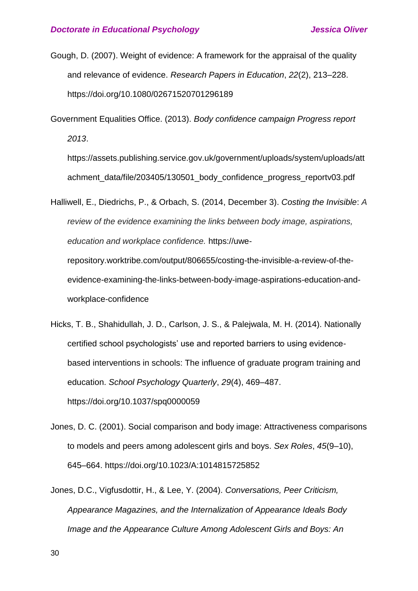- Gough, D. (2007). Weight of evidence: A framework for the appraisal of the quality and relevance of evidence. *Research Papers in Education*, *22*(2), 213–228. https://doi.org/10.1080/02671520701296189
- Government Equalities Office. (2013). *Body confidence campaign Progress report 2013*.

https://assets.publishing.service.gov.uk/government/uploads/system/uploads/att achment\_data/file/203405/130501\_body\_confidence\_progress\_reportv03.pdf

Halliwell, E., Diedrichs, P., & Orbach, S. (2014, December 3). *Costing the Invisible*: *A review of the evidence examining the links between body image, aspirations, education and workplace confidence.* https://uwe-

repository.worktribe.com/output/806655/costing-the-invisible-a-review-of-theevidence-examining-the-links-between-body-image-aspirations-education-andworkplace-confidence

- Hicks, T. B., Shahidullah, J. D., Carlson, J. S., & Palejwala, M. H. (2014). Nationally certified school psychologists' use and reported barriers to using evidencebased interventions in schools: The influence of graduate program training and education. *School Psychology Quarterly*, *29*(4), 469–487. https://doi.org/10.1037/spq0000059
- Jones, D. C. (2001). Social comparison and body image: Attractiveness comparisons to models and peers among adolescent girls and boys. *Sex Roles*, *45*(9–10), 645–664. https://doi.org/10.1023/A:1014815725852
- Jones, D.C., Vigfusdottir, H., & Lee, Y. (2004). *Conversations, Peer Criticism, Appearance Magazines, and the Internalization of Appearance Ideals Body Image and the Appearance Culture Among Adolescent Girls and Boys: An*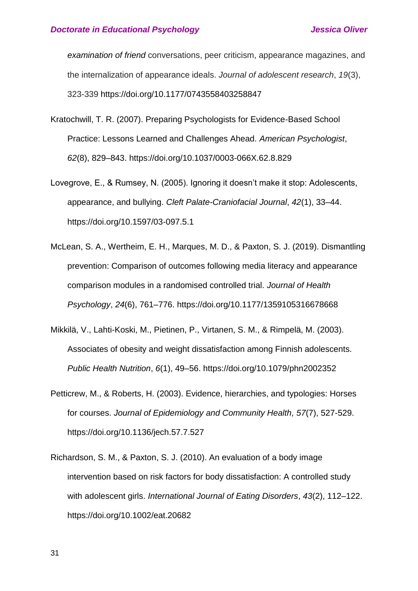*examination of friend* conversations, peer criticism, appearance magazines, and the internalization of appearance ideals. *Journal of adolescent research*, *19*(3), 323-339 https://doi.org/10.1177/0743558403258847

- Kratochwill, T. R. (2007). Preparing Psychologists for Evidence-Based School Practice: Lessons Learned and Challenges Ahead. *American Psychologist*, *62*(8), 829–843. https://doi.org/10.1037/0003-066X.62.8.829
- Lovegrove, E., & Rumsey, N. (2005). Ignoring it doesn't make it stop: Adolescents, appearance, and bullying. *Cleft Palate-Craniofacial Journal*, *42*(1), 33–44. https://doi.org/10.1597/03-097.5.1
- McLean, S. A., Wertheim, E. H., Marques, M. D., & Paxton, S. J. (2019). Dismantling prevention: Comparison of outcomes following media literacy and appearance comparison modules in a randomised controlled trial. *Journal of Health Psychology*, *24*(6), 761–776. https://doi.org/10.1177/1359105316678668
- Mikkilä, V., Lahti-Koski, M., Pietinen, P., Virtanen, S. M., & Rimpelä, M. (2003). Associates of obesity and weight dissatisfaction among Finnish adolescents. *Public Health Nutrition*, *6*(1), 49–56. https://doi.org/10.1079/phn2002352
- Petticrew, M., & Roberts, H. (2003). Evidence, hierarchies, and typologies: Horses for courses. *Journal of Epidemiology and Community Health, 57*(7), 527-529. https://doi.org/10.1136/jech.57.7.527
- Richardson, S. M., & Paxton, S. J. (2010). An evaluation of a body image intervention based on risk factors for body dissatisfaction: A controlled study with adolescent girls. *International Journal of Eating Disorders*, *43*(2), 112–122. https://doi.org/10.1002/eat.20682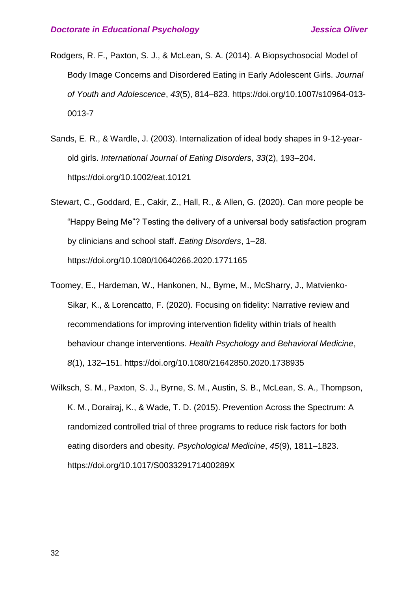- Rodgers, R. F., Paxton, S. J., & McLean, S. A. (2014). A Biopsychosocial Model of Body Image Concerns and Disordered Eating in Early Adolescent Girls. *Journal of Youth and Adolescence*, *43*(5), 814–823. https://doi.org/10.1007/s10964-013- 0013-7
- Sands, E. R., & Wardle, J. (2003). Internalization of ideal body shapes in 9-12-yearold girls. *International Journal of Eating Disorders*, *33*(2), 193–204. https://doi.org/10.1002/eat.10121
- Stewart, C., Goddard, E., Cakir, Z., Hall, R., & Allen, G. (2020). Can more people be "Happy Being Me"? Testing the delivery of a universal body satisfaction program by clinicians and school staff. *Eating Disorders*, 1–28. https://doi.org/10.1080/10640266.2020.1771165
- Toomey, E., Hardeman, W., Hankonen, N., Byrne, M., McSharry, J., Matvienko-Sikar, K., & Lorencatto, F. (2020). Focusing on fidelity: Narrative review and recommendations for improving intervention fidelity within trials of health behaviour change interventions. *Health Psychology and Behavioral Medicine*, *8*(1), 132–151. https://doi.org/10.1080/21642850.2020.1738935
- Wilksch, S. M., Paxton, S. J., Byrne, S. M., Austin, S. B., McLean, S. A., Thompson, K. M., Dorairaj, K., & Wade, T. D. (2015). Prevention Across the Spectrum: A randomized controlled trial of three programs to reduce risk factors for both eating disorders and obesity. *Psychological Medicine*, *45*(9), 1811–1823. https://doi.org/10.1017/S003329171400289X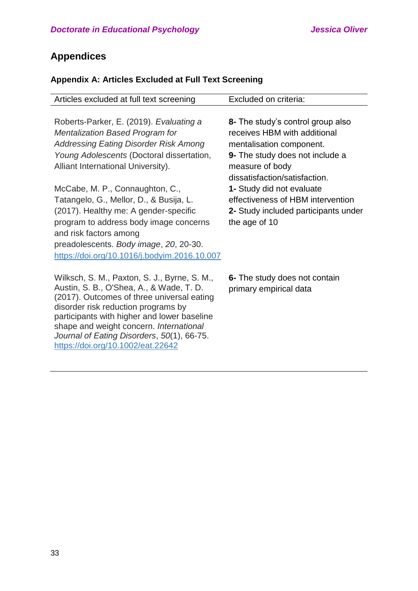# **Appendices**

# **Appendix A: Articles Excluded at Full Text Screening**

| Articles excluded at full text screening                                                                                                                                                                                  | Excluded on criteria:                |
|---------------------------------------------------------------------------------------------------------------------------------------------------------------------------------------------------------------------------|--------------------------------------|
|                                                                                                                                                                                                                           |                                      |
| Roberts-Parker, E. (2019). Evaluating a                                                                                                                                                                                   | 8- The study's control group also    |
| <b>Mentalization Based Program for</b>                                                                                                                                                                                    | receives HBM with additional         |
| <b>Addressing Eating Disorder Risk Among</b>                                                                                                                                                                              | mentalisation component.             |
| Young Adolescents (Doctoral dissertation,                                                                                                                                                                                 | 9- The study does not include a      |
| Alliant International University).                                                                                                                                                                                        | measure of body                      |
|                                                                                                                                                                                                                           | dissatisfaction/satisfaction.        |
| McCabe, M. P., Connaughton, C.,                                                                                                                                                                                           | 1- Study did not evaluate            |
| Tatangelo, G., Mellor, D., & Busija, L.                                                                                                                                                                                   | effectiveness of HBM intervention    |
| (2017). Healthy me: A gender-specific                                                                                                                                                                                     | 2- Study included participants under |
| program to address body image concerns                                                                                                                                                                                    | the age of 10                        |
| and risk factors among                                                                                                                                                                                                    |                                      |
| preadolescents. Body image, 20, 20-30.                                                                                                                                                                                    |                                      |
| https://doi.org/10.1016/j.bodyim.2016.10.007                                                                                                                                                                              |                                      |
|                                                                                                                                                                                                                           |                                      |
| Wilksch, S. M., Paxton, S. J., Byrne, S. M.,                                                                                                                                                                              | 6- The study does not contain        |
| Austin, S. B., O'Shea, A., & Wade, T. D.                                                                                                                                                                                  | primary empirical data               |
|                                                                                                                                                                                                                           |                                      |
|                                                                                                                                                                                                                           |                                      |
|                                                                                                                                                                                                                           |                                      |
|                                                                                                                                                                                                                           |                                      |
| https://doi.org/10.1002/eat.22642                                                                                                                                                                                         |                                      |
| (2017). Outcomes of three universal eating<br>disorder risk reduction programs by<br>participants with higher and lower baseline<br>shape and weight concern. International<br>Journal of Eating Disorders, 50(1), 66-75. |                                      |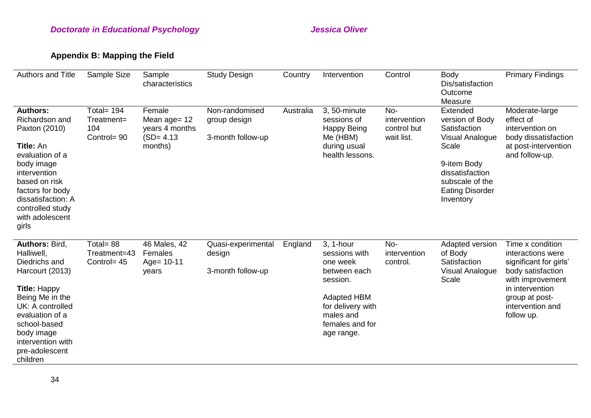# **Appendix B: Mapping the Field**

| <b>Authors and Title</b>                                                                                                                                                                                                           | Sample Size                                      | Sample<br>characteristics                                            | <b>Study Design</b>                                 | Country   | Intervention                                                                                                                                                | Control                                          | <b>Body</b><br>Dis/satisfaction                                                                                                                                     | <b>Primary Findings</b>                                                                                                                                                         |
|------------------------------------------------------------------------------------------------------------------------------------------------------------------------------------------------------------------------------------|--------------------------------------------------|----------------------------------------------------------------------|-----------------------------------------------------|-----------|-------------------------------------------------------------------------------------------------------------------------------------------------------------|--------------------------------------------------|---------------------------------------------------------------------------------------------------------------------------------------------------------------------|---------------------------------------------------------------------------------------------------------------------------------------------------------------------------------|
|                                                                                                                                                                                                                                    |                                                  |                                                                      |                                                     |           |                                                                                                                                                             |                                                  | Outcome<br>Measure                                                                                                                                                  |                                                                                                                                                                                 |
| <b>Authors:</b><br>Richardson and<br>Paxton (2010)<br><b>Title: An</b><br>evaluation of a<br>body image<br>intervention<br>based on risk<br>factors for body<br>dissatisfaction: A<br>controlled study<br>with adolescent<br>girls | Total= $194$<br>Treatment=<br>104<br>Control= 90 | Female<br>Mean age= 12<br>years 4 months<br>$(SD = 4.13)$<br>months) | Non-randomised<br>group design<br>3-month follow-up | Australia | 3, 50-minute<br>sessions of<br><b>Happy Being</b><br>Me (HBM)<br>during usual<br>health lessons.                                                            | No-<br>intervention<br>control but<br>wait list. | Extended<br>version of Body<br>Satisfaction<br>Visual Analogue<br>Scale<br>9-item Body<br>dissatisfaction<br>subscale of the<br><b>Eating Disorder</b><br>Inventory | Moderate-large<br>effect of<br>intervention on<br>body dissatisfaction<br>at post-intervention<br>and follow-up.                                                                |
| Authors: Bird,<br>Halliwell,<br>Diedrichs and<br>Harcourt (2013)<br><b>Title: Happy</b><br>Being Me in the<br>UK: A controlled<br>evaluation of a<br>school-based<br>body image<br>intervention with<br>pre-adolescent<br>children | Total= $88$<br>Treatment=43<br>Control= 45       | 46 Males, 42<br>Females<br>Age= $10-11$<br>years                     | Quasi-experimental<br>design<br>3-month follow-up   | England   | 3, 1-hour<br>sessions with<br>one week<br>between each<br>session.<br><b>Adapted HBM</b><br>for delivery with<br>males and<br>females and for<br>age range. | No-<br>intervention<br>control.                  | Adapted version<br>of Body<br>Satisfaction<br>Visual Analogue<br>Scale                                                                                              | Time x condition<br>interactions were<br>significant for girls'<br>body satisfaction<br>with improvement<br>in intervention<br>group at post-<br>intervention and<br>follow up. |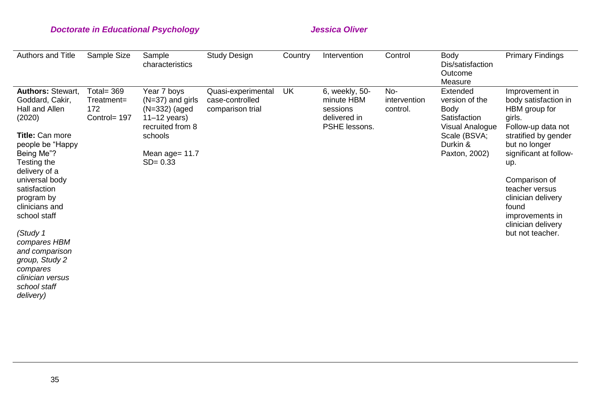| <b>Authors and Title</b>                                                                                                                                                                                                                                                                                                                                                    | Sample Size                                       | Sample<br>characteristics                                                                                                              | <b>Study Design</b>                                       | Country   | Intervention                                                              | Control                         | <b>Body</b><br>Dis/satisfaction<br>Outcome<br>Measure                                                                            | <b>Primary Findings</b>                                                                                                                                                                                                                                                                          |
|-----------------------------------------------------------------------------------------------------------------------------------------------------------------------------------------------------------------------------------------------------------------------------------------------------------------------------------------------------------------------------|---------------------------------------------------|----------------------------------------------------------------------------------------------------------------------------------------|-----------------------------------------------------------|-----------|---------------------------------------------------------------------------|---------------------------------|----------------------------------------------------------------------------------------------------------------------------------|--------------------------------------------------------------------------------------------------------------------------------------------------------------------------------------------------------------------------------------------------------------------------------------------------|
| <b>Authors: Stewart,</b><br>Goddard, Cakir,<br>Hall and Allen<br>(2020)<br>Title: Can more<br>people be "Happy<br>Being Me"?<br>Testing the<br>delivery of a<br>universal body<br>satisfaction<br>program by<br>clinicians and<br>school staff<br>(Study 1<br>compares HBM<br>and comparison<br>group, Study 2<br>compares<br>clinician versus<br>school staff<br>delivery) | Total= $369$<br>Treatment=<br>172<br>Control= 197 | Year 7 boys<br>$(N=37)$ and girls<br>$(N=332)$ (aged<br>$11-12$ years)<br>recruited from 8<br>schools<br>Mean age= 11.7<br>$SD = 0.33$ | Quasi-experimental<br>case-controlled<br>comparison trial | <b>UK</b> | 6, weekly, 50-<br>minute HBM<br>sessions<br>delivered in<br>PSHE lessons. | No-<br>intervention<br>control. | Extended<br>version of the<br><b>Body</b><br>Satisfaction<br><b>Visual Analogue</b><br>Scale (BSVA;<br>Durkin &<br>Paxton, 2002) | Improvement in<br>body satisfaction in<br>HBM group for<br>girls.<br>Follow-up data not<br>stratified by gender<br>but no longer<br>significant at follow-<br>up.<br>Comparison of<br>teacher versus<br>clinician delivery<br>found<br>improvements in<br>clinician delivery<br>but not teacher. |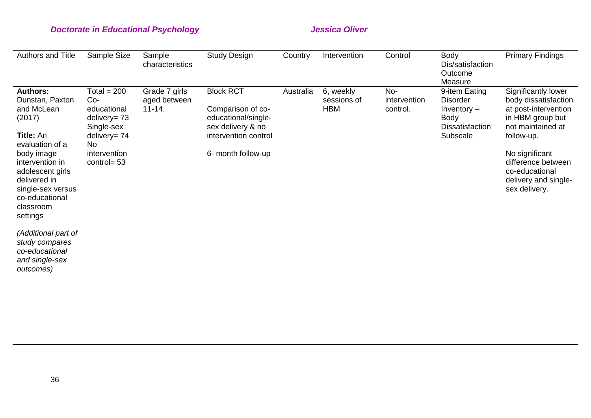| Authors and Title                                                                                                                                                                                                                      | Sample Size                                                                                                                           | Sample<br>characteristics                   | <b>Study Design</b>                                                                                                             | Country   | Intervention                           | Control                         | <b>Body</b><br>Dis/satisfaction<br>Outcome<br>Measure                                           | <b>Primary Findings</b>                                                                                                                                                                                                       |
|----------------------------------------------------------------------------------------------------------------------------------------------------------------------------------------------------------------------------------------|---------------------------------------------------------------------------------------------------------------------------------------|---------------------------------------------|---------------------------------------------------------------------------------------------------------------------------------|-----------|----------------------------------------|---------------------------------|-------------------------------------------------------------------------------------------------|-------------------------------------------------------------------------------------------------------------------------------------------------------------------------------------------------------------------------------|
| <b>Authors:</b><br>Dunstan, Paxton<br>and McLean<br>(2017)<br><b>Title: An</b><br>evaluation of a<br>body image<br>intervention in<br>adolescent girls<br>delivered in<br>single-sex versus<br>co-educational<br>classroom<br>settings | Total = $200$<br>$Co-$<br>educational<br>delivery= $73$<br>Single-sex<br>delivery= $74$<br><b>No</b><br>intervention<br>control= $53$ | Grade 7 girls<br>aged between<br>$11 - 14.$ | <b>Block RCT</b><br>Comparison of co-<br>educational/single-<br>sex delivery & no<br>intervention control<br>6- month follow-up | Australia | 6, weekly<br>sessions of<br><b>HBM</b> | No-<br>intervention<br>control. | 9-item Eating<br><b>Disorder</b><br>Inventory $-$<br>Body<br><b>Dissatisfaction</b><br>Subscale | Significantly lower<br>body dissatisfaction<br>at post-intervention<br>in HBM group but<br>not maintained at<br>follow-up.<br>No significant<br>difference between<br>co-educational<br>delivery and single-<br>sex delivery. |
| (Additional part of<br>study compares<br>co-educational<br>and single-sex<br>outcomes)                                                                                                                                                 |                                                                                                                                       |                                             |                                                                                                                                 |           |                                        |                                 |                                                                                                 |                                                                                                                                                                                                                               |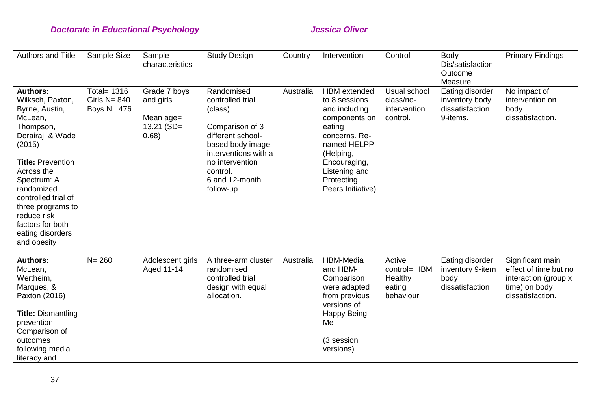| Authors and Title                                                                                                                                                                                                                                                                                    | Sample Size                                             | Sample<br>characteristics                                       | <b>Study Design</b>                                                                                                                                                                         | Country   | Intervention                                                                                                                                                                                      | Control                                                  | <b>Body</b><br>Dis/satisfaction<br>Outcome<br>Measure            | <b>Primary Findings</b>                                                                                |
|------------------------------------------------------------------------------------------------------------------------------------------------------------------------------------------------------------------------------------------------------------------------------------------------------|---------------------------------------------------------|-----------------------------------------------------------------|---------------------------------------------------------------------------------------------------------------------------------------------------------------------------------------------|-----------|---------------------------------------------------------------------------------------------------------------------------------------------------------------------------------------------------|----------------------------------------------------------|------------------------------------------------------------------|--------------------------------------------------------------------------------------------------------|
| <b>Authors:</b><br>Wilksch, Paxton,<br>Byrne, Austin,<br>McLean,<br>Thompson,<br>Dorairaj, & Wade<br>(2015)<br><b>Title: Prevention</b><br>Across the<br>Spectrum: A<br>randomized<br>controlled trial of<br>three programs to<br>reduce risk<br>factors for both<br>eating disorders<br>and obesity | <b>Total= 1316</b><br>Girls $N = 840$<br>Boys $N = 476$ | Grade 7 boys<br>and girls<br>Mean age=<br>$13.21$ (SD=<br>0.68) | Randomised<br>controlled trial<br>(class)<br>Comparison of 3<br>different school-<br>based body image<br>interventions with a<br>no intervention<br>control.<br>6 and 12-month<br>follow-up | Australia | <b>HBM</b> extended<br>to 8 sessions<br>and including<br>components on<br>eating<br>concerns. Re-<br>named HELPP<br>(Helping,<br>Encouraging,<br>Listening and<br>Protecting<br>Peers Initiative) | Usual school<br>class/no-<br>intervention<br>control.    | Eating disorder<br>inventory body<br>dissatisfaction<br>9-items. | No impact of<br>intervention on<br>body<br>dissatisfaction.                                            |
| <b>Authors:</b><br>McLean,<br>Wertheim,<br>Marques, &<br>Paxton (2016)<br><b>Title: Dismantling</b><br>prevention:<br>Comparison of<br>outcomes<br>following media<br>literacy and                                                                                                                   | $N = 260$                                               | Adolescent girls<br>Aged 11-14                                  | A three-arm cluster<br>randomised<br>controlled trial<br>design with equal<br>allocation.                                                                                                   | Australia | HBM-Media<br>and HBM-<br>Comparison<br>were adapted<br>from previous<br>versions of<br><b>Happy Being</b><br>Me<br>(3 session<br>versions)                                                        | Active<br>control= HBM<br>Healthy<br>eating<br>behaviour | Eating disorder<br>inventory 9-item<br>body<br>dissatisfaction   | Significant main<br>effect of time but no<br>interaction (group x<br>time) on body<br>dissatisfaction. |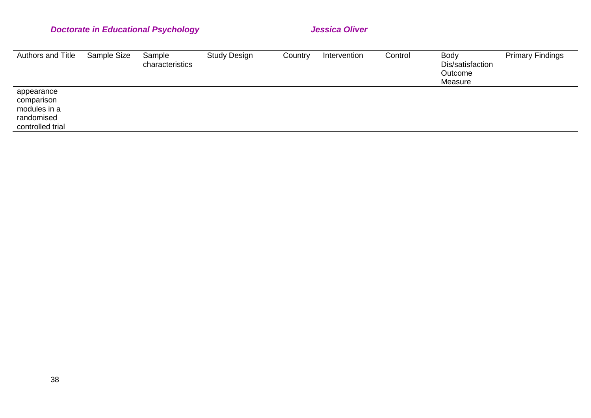| Authors and Title                                                          | Sample Size | Sample<br>characteristics | <b>Study Design</b> | Country | Intervention | Control | Body<br>Dis/satisfaction<br>Outcome<br>Measure | <b>Primary Findings</b> |
|----------------------------------------------------------------------------|-------------|---------------------------|---------------------|---------|--------------|---------|------------------------------------------------|-------------------------|
| appearance<br>comparison<br>modules in a<br>randomised<br>controlled trial |             |                           |                     |         |              |         |                                                |                         |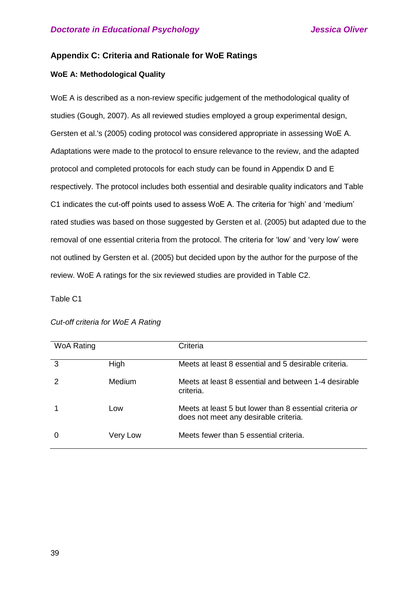## **Appendix C: Criteria and Rationale for WoE Ratings**

## **WoE A: Methodological Quality**

WoE A is described as a non-review specific judgement of the methodological quality of studies (Gough, 2007). As all reviewed studies employed a group experimental design, Gersten et al.'s (2005) coding protocol was considered appropriate in assessing WoE A. Adaptations were made to the protocol to ensure relevance to the review, and the adapted protocol and completed protocols for each study can be found in Appendix D and E respectively. The protocol includes both essential and desirable quality indicators and Table C1 indicates the cut-off points used to assess WoE A. The criteria for 'high' and 'medium' rated studies was based on those suggested by Gersten et al. (2005) but adapted due to the removal of one essential criteria from the protocol. The criteria for 'low' and 'very low' were not outlined by Gersten et al. (2005) but decided upon by the author for the purpose of the review. WoE A ratings for the six reviewed studies are provided in Table C2.

Table C1

| <b>WoA Rating</b> |          | Criteria                                                                                         |
|-------------------|----------|--------------------------------------------------------------------------------------------------|
| 3                 | High     | Meets at least 8 essential and 5 desirable criteria.                                             |
|                   | Medium   | Meets at least 8 essential and between 1-4 desirable<br>criteria.                                |
|                   | Low      | Meets at least 5 but lower than 8 essential criteria or<br>does not meet any desirable criteria. |
|                   | Very Low | Meets fewer than 5 essential criteria.                                                           |

*Cut-off criteria for WoE A Rating*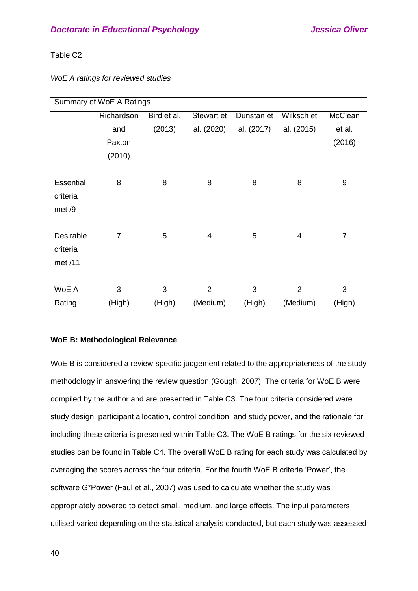## Table C2

|  |  |  | WoE A ratings for reviewed studies |  |
|--|--|--|------------------------------------|--|
|--|--|--|------------------------------------|--|

| Summary of WoE A Ratings         |                |             |                |            |                |                |  |  |  |  |
|----------------------------------|----------------|-------------|----------------|------------|----------------|----------------|--|--|--|--|
|                                  | Richardson     | Bird et al. | Stewart et     | Dunstan et | Wilksch et     | McClean        |  |  |  |  |
|                                  | and            | (2013)      | al. (2020)     | al. (2017) | al. (2015)     | et al.         |  |  |  |  |
|                                  | Paxton         |             |                |            |                | (2016)         |  |  |  |  |
|                                  | (2010)         |             |                |            |                |                |  |  |  |  |
| Essential<br>criteria<br>met /9  | 8              | 8           | 8              | 8          | 8              | 9              |  |  |  |  |
| Desirable<br>criteria<br>met /11 | $\overline{7}$ | 5           | 4              | 5          | 4              | $\overline{7}$ |  |  |  |  |
| WoE A                            | 3              | 3           | $\overline{2}$ | 3          | $\overline{2}$ | 3              |  |  |  |  |
| Rating                           | (High)         | (High)      | (Medium)       | (High)     | (Medium)       | (High)         |  |  |  |  |

## **WoE B: Methodological Relevance**

WoE B is considered a review-specific judgement related to the appropriateness of the study methodology in answering the review question (Gough, 2007). The criteria for WoE B were compiled by the author and are presented in Table C3. The four criteria considered were study design, participant allocation, control condition, and study power, and the rationale for including these criteria is presented within Table C3. The WoE B ratings for the six reviewed studies can be found in Table C4. The overall WoE B rating for each study was calculated by averaging the scores across the four criteria. For the fourth WoE B criteria 'Power', the software G\*Power (Faul et al., 2007) was used to calculate whether the study was appropriately powered to detect small, medium, and large effects. The input parameters utilised varied depending on the statistical analysis conducted, but each study was assessed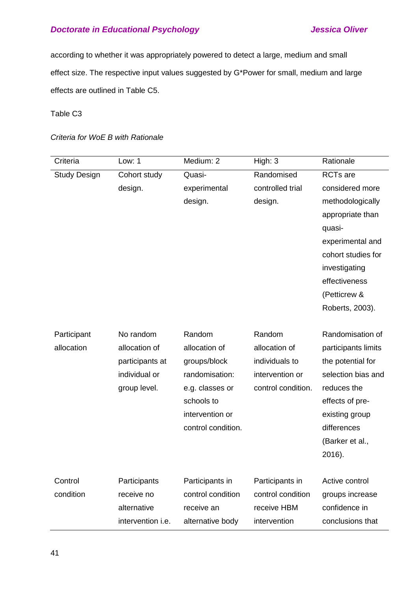according to whether it was appropriately powered to detect a large, medium and small effect size. The respective input values suggested by G\*Power for small, medium and large effects are outlined in Table C5.

Table C3

*Criteria for WoE B with Rationale* 

| Criteria            | Low: 1            | Medium: 2          | High: 3            | Rationale            |
|---------------------|-------------------|--------------------|--------------------|----------------------|
| <b>Study Design</b> | Cohort study      | Quasi-             | Randomised         | RCT <sub>s</sub> are |
|                     | design.           | experimental       | controlled trial   | considered more      |
|                     |                   | design.            | design.            | methodologically     |
|                     |                   |                    |                    | appropriate than     |
|                     |                   |                    |                    | quasi-               |
|                     |                   |                    |                    | experimental and     |
|                     |                   |                    |                    | cohort studies for   |
|                     |                   |                    |                    | investigating        |
|                     |                   |                    |                    | effectiveness        |
|                     |                   |                    |                    | (Petticrew &         |
|                     |                   |                    |                    | Roberts, 2003).      |
|                     |                   |                    |                    |                      |
| Participant         | No random         | Random             | Random             | Randomisation of     |
| allocation          | allocation of     | allocation of      | allocation of      | participants limits  |
|                     | participants at   | groups/block       | individuals to     | the potential for    |
|                     | individual or     | randomisation:     | intervention or    | selection bias and   |
|                     | group level.      | e.g. classes or    | control condition. | reduces the          |
|                     |                   | schools to         |                    | effects of pre-      |
|                     |                   | intervention or    |                    | existing group       |
|                     |                   | control condition. |                    | differences          |
|                     |                   |                    |                    | (Barker et al.,      |
|                     |                   |                    |                    | 2016).               |
|                     |                   |                    |                    |                      |
| Control             | Participants      | Participants in    | Participants in    | Active control       |
| condition           | receive no        | control condition  | control condition  | groups increase      |
|                     | alternative       | receive an         | receive HBM        | confidence in        |
|                     | intervention i.e. | alternative body   | intervention       | conclusions that     |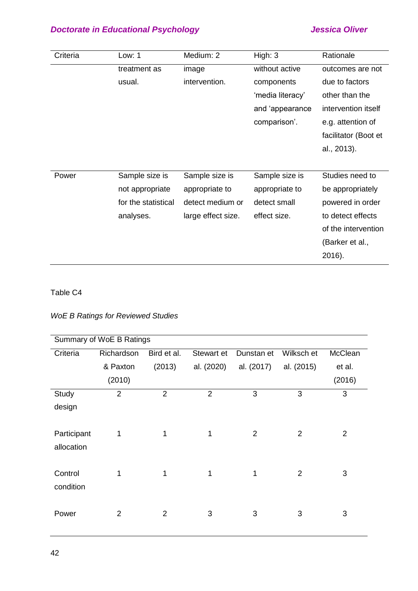| Criteria | Low: $1$            | Medium: 2          | High: $3$        | Rationale            |
|----------|---------------------|--------------------|------------------|----------------------|
|          | treatment as        | image              | without active   | outcomes are not     |
|          | usual.              | intervention.      | components       | due to factors       |
|          |                     |                    | 'media literacy' | other than the       |
|          |                     |                    | and 'appearance  | intervention itself  |
|          |                     |                    | comparison'.     | e.g. attention of    |
|          |                     |                    |                  | facilitator (Boot et |
|          |                     |                    |                  | al., 2013).          |
|          |                     |                    |                  |                      |
| Power    | Sample size is      | Sample size is     | Sample size is   | Studies need to      |
|          | not appropriate     | appropriate to     | appropriate to   | be appropriately     |
|          | for the statistical | detect medium or   | detect small     | powered in order     |
|          | analyses.           | large effect size. | effect size.     | to detect effects    |
|          |                     |                    |                  | of the intervention  |
|          |                     |                    |                  | (Barker et al.,      |
|          |                     |                    |                  | 2016).               |

## Table C4

## *WoE B Ratings for Reviewed Studies*

|             | Summary of WoE B Ratings |                |                |                |                |                |  |
|-------------|--------------------------|----------------|----------------|----------------|----------------|----------------|--|
| Criteria    | Richardson               | Bird et al.    | Stewart et     | Dunstan et     | Wilksch et     | McClean        |  |
|             | & Paxton                 | (2013)         | al. (2020)     | al. (2017)     | al. (2015)     | et al.         |  |
|             | (2010)                   |                |                |                |                | (2016)         |  |
| Study       | $\overline{2}$           | $\overline{2}$ | $\overline{2}$ | 3              | 3              | 3              |  |
| design      |                          |                |                |                |                |                |  |
| Participant | 1                        | 1              | 1              | $\overline{2}$ | $\overline{2}$ | $\overline{2}$ |  |
| allocation  |                          |                |                |                |                |                |  |
| Control     | 1                        | 1              | 1              | 1              | $\overline{2}$ | 3              |  |
| condition   |                          |                |                |                |                |                |  |
| Power       | $\overline{2}$           | $\overline{2}$ | 3              | 3              | 3              | 3              |  |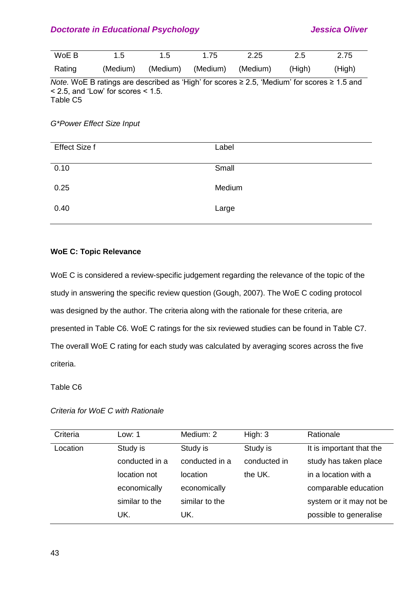| WoE B  | $1.5^{\circ}$ | 1.5 | 1.75 | 2.25                                       | 2.5 | 2.75   |
|--------|---------------|-----|------|--------------------------------------------|-----|--------|
| Rating |               |     |      | (Medium) (Medium) (Medium) (Medium) (High) |     | (High) |

*Note.* WoE B ratings are described as 'High' for scores ≥ 2.5, 'Medium' for scores ≥ 1.5 and < 2.5, and 'Low' for scores < 1.5. Table C5

### *G\*Power Effect Size Input*

## **WoE C: Topic Relevance**

WoE C is considered a review-specific judgement regarding the relevance of the topic of the study in answering the specific review question (Gough, 2007). The WoE C coding protocol was designed by the author. The criteria along with the rationale for these criteria, are presented in Table C6. WoE C ratings for the six reviewed studies can be found in Table C7. The overall WoE C rating for each study was calculated by averaging scores across the five criteria.

## Table C6

| Low: 1         | Medium: 2      | High: $3$    | Rationale                |
|----------------|----------------|--------------|--------------------------|
| Study is       | Study is       | Study is     | It is important that the |
| conducted in a | conducted in a | conducted in | study has taken place    |
| location not   | location       | the UK.      | in a location with a     |
| economically   | economically   |              | comparable education     |
| similar to the | similar to the |              | system or it may not be  |
| UK.            | UK.            |              | possible to generalise   |
|                |                |              |                          |

## *Criteria for WoE C with Rationale*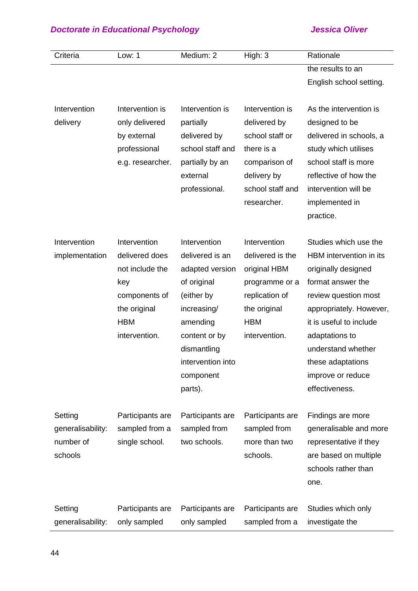| Criteria          | Low: 1           | Medium: 2         | High: 3          | Rationale               |
|-------------------|------------------|-------------------|------------------|-------------------------|
|                   |                  |                   |                  | the results to an       |
|                   |                  |                   |                  | English school setting. |
|                   |                  |                   |                  |                         |
| Intervention      | Intervention is  | Intervention is   | Intervention is  | As the intervention is  |
| delivery          | only delivered   | partially         | delivered by     | designed to be          |
|                   | by external      | delivered by      | school staff or  | delivered in schools, a |
|                   | professional     | school staff and  | there is a       | study which utilises    |
|                   | e.g. researcher. | partially by an   | comparison of    | school staff is more    |
|                   |                  | external          | delivery by      | reflective of how the   |
|                   |                  | professional.     | school staff and | intervention will be    |
|                   |                  |                   | researcher.      | implemented in          |
|                   |                  |                   |                  | practice.               |
|                   |                  |                   |                  |                         |
| Intervention      | Intervention     | Intervention      | Intervention     | Studies which use the   |
| implementation    | delivered does   | delivered is an   | delivered is the | HBM intervention in its |
|                   | not include the  | adapted version   | original HBM     | originally designed     |
|                   | key              | of original       | programme or a   | format answer the       |
|                   | components of    | (either by        | replication of   | review question most    |
|                   | the original     | increasing/       | the original     | appropriately. However, |
|                   | <b>HBM</b>       | amending          | <b>HBM</b>       | it is useful to include |
|                   | intervention.    | content or by     | intervention.    | adaptations to          |
|                   |                  | dismantling       |                  | understand whether      |
|                   |                  | intervention into |                  | these adaptations       |
|                   |                  | component         |                  | improve or reduce       |
|                   |                  | parts).           |                  | effectiveness.          |
|                   |                  |                   |                  |                         |
| Setting           | Participants are | Participants are  | Participants are | Findings are more       |
| generalisability: | sampled from a   | sampled from      | sampled from     | generalisable and more  |
| number of         | single school.   | two schools.      | more than two    | representative if they  |
| schools           |                  |                   | schools.         | are based on multiple   |
|                   |                  |                   |                  | schools rather than     |
|                   |                  |                   |                  | one.                    |
|                   |                  |                   |                  |                         |
| Setting           | Participants are | Participants are  | Participants are | Studies which only      |
| generalisability: | only sampled     | only sampled      | sampled from a   | investigate the         |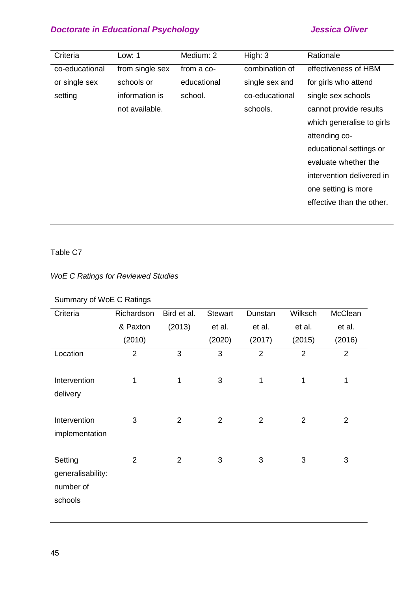| Criteria       | Low: 1          | Medium: 2   | High: $3$      | Rationale                 |
|----------------|-----------------|-------------|----------------|---------------------------|
| co-educational | from single sex | from a co-  | combination of | effectiveness of HBM      |
| or single sex  | schools or      | educational | single sex and | for girls who attend      |
| setting        | information is  | school.     | co-educational | single sex schools        |
|                | not available.  |             | schools.       | cannot provide results    |
|                |                 |             |                | which generalise to girls |
|                |                 |             |                | attending co-             |
|                |                 |             |                | educational settings or   |
|                |                 |             |                | evaluate whether the      |
|                |                 |             |                | intervention delivered in |
|                |                 |             |                | one setting is more       |
|                |                 |             |                | effective than the other. |

## Table C7

## *WoE C Ratings for Reviewed Studies*

|                                                      | Summary of WoE C Ratings |                |                |                |                |                |  |
|------------------------------------------------------|--------------------------|----------------|----------------|----------------|----------------|----------------|--|
| Criteria                                             | Richardson               | Bird et al.    | <b>Stewart</b> | Dunstan        | Wilksch        | McClean        |  |
|                                                      | & Paxton                 | (2013)         | et al.         | et al.         | et al.         | et al.         |  |
|                                                      | (2010)                   |                | (2020)         | (2017)         | (2015)         | (2016)         |  |
| Location                                             | $\overline{2}$           | 3              | 3              | $\overline{2}$ | $\overline{2}$ | $\overline{2}$ |  |
| Intervention<br>delivery                             | 1                        | 1              | 3              | 1              | 1              | 1              |  |
| Intervention<br>implementation                       | 3                        | $\overline{2}$ | $\overline{2}$ | $\overline{2}$ | $\overline{2}$ | $\overline{2}$ |  |
| Setting<br>generalisability:<br>number of<br>schools | $\overline{2}$           | $\overline{2}$ | 3              | 3              | 3              | 3              |  |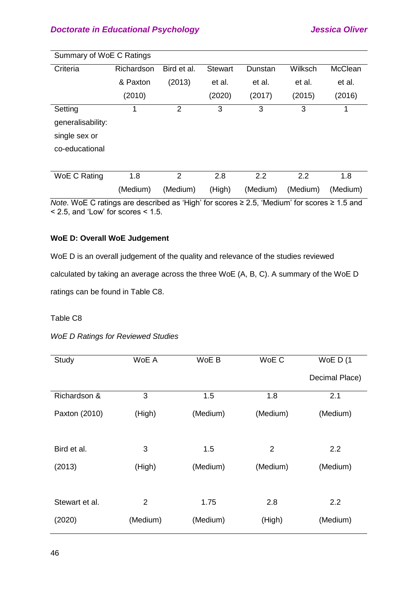| Summary of WoE C Ratings |            |                |                |          |          |          |  |
|--------------------------|------------|----------------|----------------|----------|----------|----------|--|
| Criteria                 | Richardson | Bird et al.    | <b>Stewart</b> | Dunstan  | Wilksch  | McClean  |  |
|                          | & Paxton   | (2013)         | et al.         | et al.   | et al.   | et al.   |  |
|                          | (2010)     |                | (2020)         | (2017)   | (2015)   | (2016)   |  |
| Setting                  |            | $\overline{2}$ | 3              | 3        | 3        | 1        |  |
| generalisability:        |            |                |                |          |          |          |  |
| single sex or            |            |                |                |          |          |          |  |
| co-educational           |            |                |                |          |          |          |  |
|                          |            |                |                |          |          |          |  |
| WoE C Rating             | 1.8        | $\overline{2}$ | 2.8            | 2.2      | 2.2      | 1.8      |  |
|                          | (Medium)   | (Medium)       | (High)         | (Medium) | (Medium) | (Medium) |  |

*Note.* WoE C ratings are described as 'High' for scores ≥ 2.5, 'Medium' for scores ≥ 1.5 and  $<$  2.5, and 'Low' for scores  $<$  1.5.

## **WoE D: Overall WoE Judgement**

WoE D is an overall judgement of the quality and relevance of the studies reviewed calculated by taking an average across the three WoE (A, B, C). A summary of the WoE D ratings can be found in Table C8.

## Table C8

*WoE D Ratings for Reviewed Studies* 

| Study          | WoE A          | WoE B    | WoE C          | WoE $D(1)$     |
|----------------|----------------|----------|----------------|----------------|
|                |                |          |                | Decimal Place) |
| Richardson &   | 3              | 1.5      | 1.8            | 2.1            |
| Paxton (2010)  | (High)         | (Medium) | (Medium)       | (Medium)       |
| Bird et al.    | 3              | 1.5      | $\overline{2}$ | 2.2            |
| (2013)         | (High)         | (Medium) | (Medium)       | (Medium)       |
| Stewart et al. | $\overline{2}$ | 1.75     | 2.8            | 2.2            |
| (2020)         | (Medium)       | (Medium) | (High)         | (Medium)       |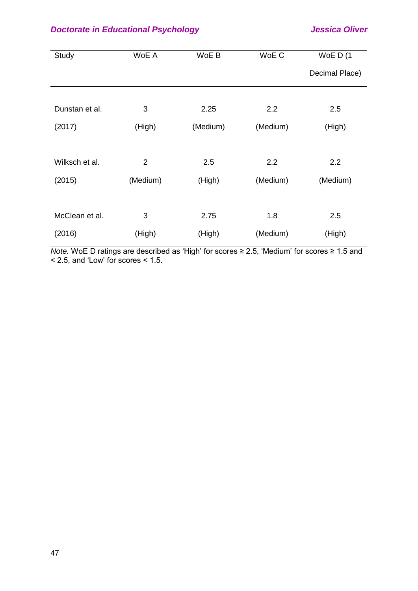| Study          | WoE A          | WoE B    | WoE C    | WoE $D(1)$     |
|----------------|----------------|----------|----------|----------------|
|                |                |          |          | Decimal Place) |
|                |                |          |          |                |
| Dunstan et al. | 3              | 2.25     | 2.2      | 2.5            |
| (2017)         | (High)         | (Medium) | (Medium) | (High)         |
|                |                |          |          |                |
| Wilksch et al. | $\overline{2}$ | 2.5      | 2.2      | 2.2            |
| (2015)         | (Medium)       | (High)   | (Medium) | (Medium)       |
|                |                |          |          |                |
| McClean et al. | 3              | 2.75     | 1.8      | 2.5            |
| (2016)         | (High)         | (High)   | (Medium) | (High)         |

*Note.* WoE D ratings are described as 'High' for scores ≥ 2.5, 'Medium' for scores ≥ 1.5 and  $<$  2.5, and 'Low' for scores  $<$  1.5.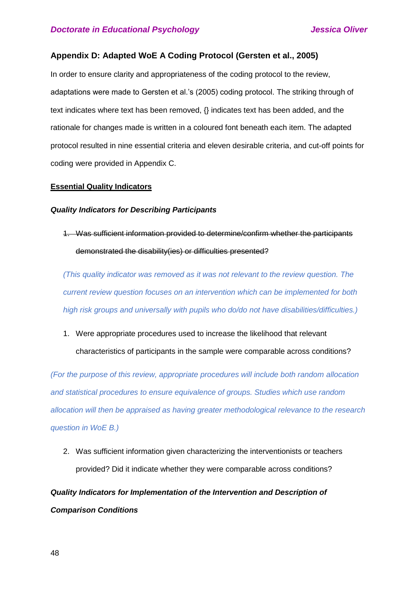## **Appendix D: Adapted WoE A Coding Protocol (Gersten et al., 2005)**

In order to ensure clarity and appropriateness of the coding protocol to the review, adaptations were made to Gersten et al.'s (2005) coding protocol. The striking through of text indicates where text has been removed, {} indicates text has been added, and the rationale for changes made is written in a coloured font beneath each item. The adapted protocol resulted in nine essential criteria and eleven desirable criteria, and cut-off points for coding were provided in Appendix C.

### **Essential Quality Indicators**

### *Quality Indicators for Describing Participants*

1. Was sufficient information provided to determine/confirm whether the participants demonstrated the disability(ies) or difficulties presented?

*(This quality indicator was removed as it was not relevant to the review question. The current review question focuses on an intervention which can be implemented for both high risk groups and universally with pupils who do/do not have disabilities/difficulties.)*

1. Were appropriate procedures used to increase the likelihood that relevant characteristics of participants in the sample were comparable across conditions?

*(For the purpose of this review, appropriate procedures will include both random allocation and statistical procedures to ensure equivalence of groups. Studies which use random allocation will then be appraised as having greater methodological relevance to the research question in WoE B.)*

2. Was sufficient information given characterizing the interventionists or teachers provided? Did it indicate whether they were comparable across conditions?

# *Quality Indicators for Implementation of the Intervention and Description of Comparison Conditions*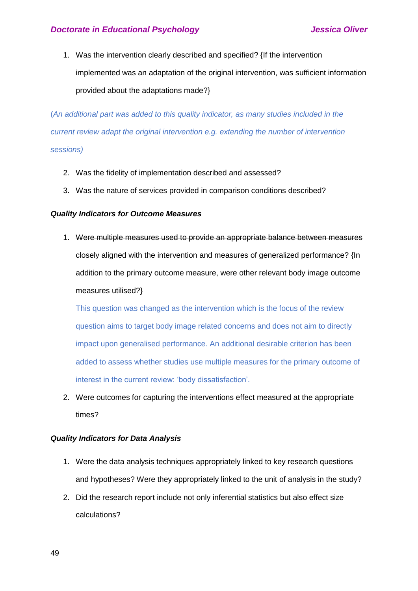1. Was the intervention clearly described and specified? {If the intervention implemented was an adaptation of the original intervention, was sufficient information provided about the adaptations made?}

(*An additional part was added to this quality indicator, as many studies included in the current review adapt the original intervention e.g. extending the number of intervention sessions)*

- 2. Was the fidelity of implementation described and assessed?
- 3. Was the nature of services provided in comparison conditions described?

### *Quality Indicators for Outcome Measures*

1. Were multiple measures used to provide an appropriate balance between measures closely aligned with the intervention and measures of generalized performance? {In addition to the primary outcome measure, were other relevant body image outcome measures utilised?}

This question was changed as the intervention which is the focus of the review question aims to target body image related concerns and does not aim to directly impact upon generalised performance. An additional desirable criterion has been added to assess whether studies use multiple measures for the primary outcome of interest in the current review: 'body dissatisfaction'.

2. Were outcomes for capturing the interventions effect measured at the appropriate times?

### *Quality Indicators for Data Analysis*

- 1. Were the data analysis techniques appropriately linked to key research questions and hypotheses? Were they appropriately linked to the unit of analysis in the study?
- 2. Did the research report include not only inferential statistics but also effect size calculations?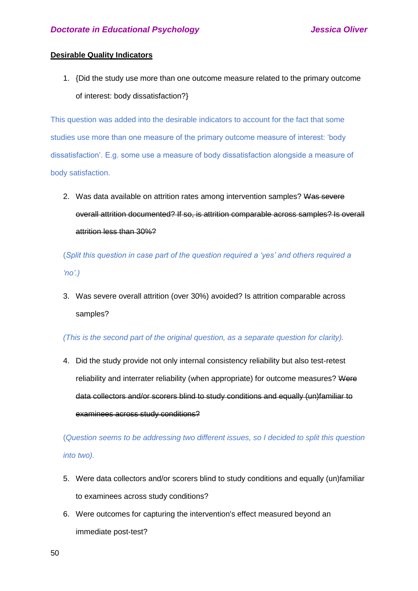## **Desirable Quality Indicators**

1. {Did the study use more than one outcome measure related to the primary outcome of interest: body dissatisfaction?}

This question was added into the desirable indicators to account for the fact that some studies use more than one measure of the primary outcome measure of interest: 'body dissatisfaction'. E.g. some use a measure of body dissatisfaction alongside a measure of body satisfaction.

2. Was data available on attrition rates among intervention samples? Was severe overall attrition documented? If so, is attrition comparable across samples? Is overall attrition less than 30%?

(*Split this question in case part of the question required a 'yes' and others required a 'no'.)*

3. Was severe overall attrition (over 30%) avoided? Is attrition comparable across samples?

### *(This is the second part of the original question, as a separate question for clarity).*

4. Did the study provide not only internal consistency reliability but also test-retest reliability and interrater reliability (when appropriate) for outcome measures? Were data collectors and/or scorers blind to study conditions and equally (un)familiar to examinees across study conditions?

(*Question seems to be addressing two different issues, so I decided to split this question into two).*

- 5. Were data collectors and/or scorers blind to study conditions and equally (un)familiar to examinees across study conditions?
- 6. Were outcomes for capturing the intervention's effect measured beyond an immediate post-test?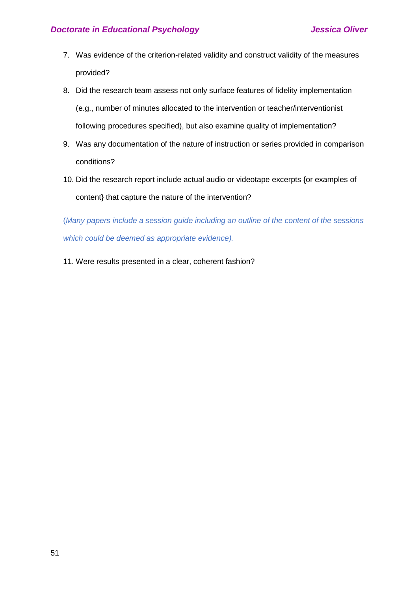- 7. Was evidence of the criterion-related validity and construct validity of the measures provided?
- 8. Did the research team assess not only surface features of fidelity implementation (e.g., number of minutes allocated to the intervention or teacher/interventionist following procedures specified), but also examine quality of implementation?
- 9. Was any documentation of the nature of instruction or series provided in comparison conditions?
- 10. Did the research report include actual audio or videotape excerpts {or examples of content} that capture the nature of the intervention?

(*Many papers include a session guide including an outline of the content of the sessions which could be deemed as appropriate evidence).*

11. Were results presented in a clear, coherent fashion?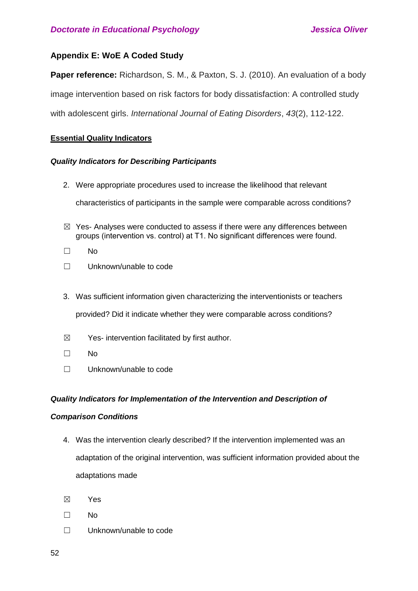## **Appendix E: WoE A Coded Study**

**Paper reference:** Richardson, S. M., & Paxton, S. J. (2010). An evaluation of a body image intervention based on risk factors for body dissatisfaction: A controlled study with adolescent girls. *International Journal of Eating Disorders*, *43*(2), 112-122.

## **Essential Quality Indicators**

## *Quality Indicators for Describing Participants*

- 2. Were appropriate procedures used to increase the likelihood that relevant characteristics of participants in the sample were comparable across conditions?
- $\boxtimes$  Yes- Analyses were conducted to assess if there were any differences between groups (intervention vs. control) at T1. No significant differences were found.
- ☐ No
- ☐ Unknown/unable to code
- 3. Was sufficient information given characterizing the interventionists or teachers provided? Did it indicate whether they were comparable across conditions?
- $\boxtimes$  Yes- intervention facilitated by first author.
- ☐ No
- ☐ Unknown/unable to code

## *Quality Indicators for Implementation of the Intervention and Description of*

## *Comparison Conditions*

- 4. Was the intervention clearly described? If the intervention implemented was an adaptation of the original intervention, was sufficient information provided about the adaptations made
- ☒ Yes
- ☐ No
- ☐ Unknown/unable to code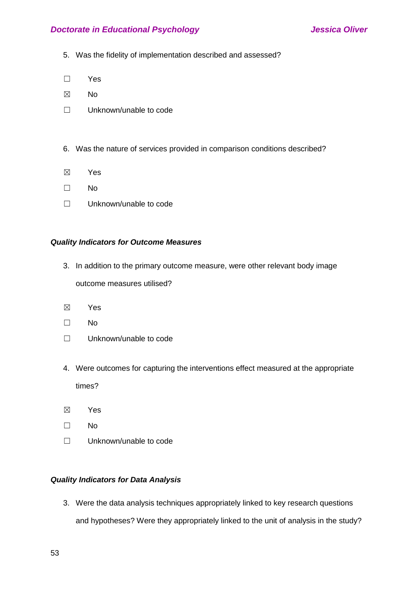- 5. Was the fidelity of implementation described and assessed?
- ☐ Yes
- ☒ No
- ☐ Unknown/unable to code
- 6. Was the nature of services provided in comparison conditions described?
- ☒ Yes
- ☐ No
- ☐ Unknown/unable to code

## *Quality Indicators for Outcome Measures*

3. In addition to the primary outcome measure, were other relevant body image

outcome measures utilised?

- ☒ Yes
- ☐ No
- ☐ Unknown/unable to code
- 4. Were outcomes for capturing the interventions effect measured at the appropriate times?
- ☒ Yes
- ☐ No
- ☐ Unknown/unable to code

## *Quality Indicators for Data Analysis*

3. Were the data analysis techniques appropriately linked to key research questions and hypotheses? Were they appropriately linked to the unit of analysis in the study?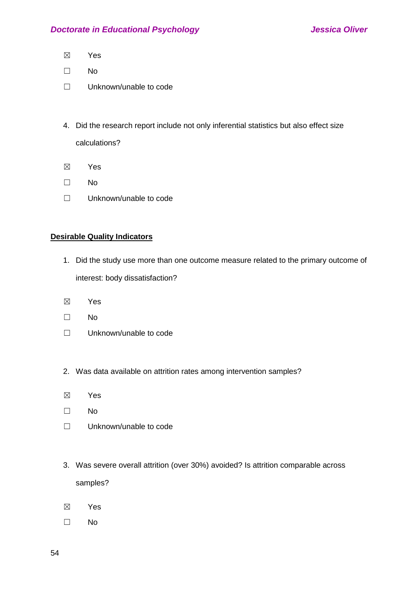- ☒ Yes
- ☐ No
- ☐ Unknown/unable to code
- 4. Did the research report include not only inferential statistics but also effect size calculations?
- ☒ Yes
- ☐ No
- ☐ Unknown/unable to code

## **Desirable Quality Indicators**

- 1. Did the study use more than one outcome measure related to the primary outcome of interest: body dissatisfaction?
- ☒ Yes
- ☐ No
- ☐ Unknown/unable to code
- 2. Was data available on attrition rates among intervention samples?
- ☒ Yes
- ☐ No
- ☐ Unknown/unable to code
- 3. Was severe overall attrition (over 30%) avoided? Is attrition comparable across samples?
- ☒ Yes
- ☐ No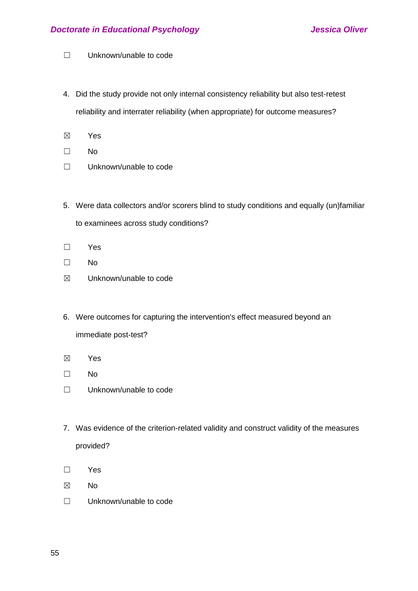- ☐ Unknown/unable to code
- 4. Did the study provide not only internal consistency reliability but also test-retest reliability and interrater reliability (when appropriate) for outcome measures?
- ☒ Yes
- ☐ No
- ☐ Unknown/unable to code
- 5. Were data collectors and/or scorers blind to study conditions and equally (un)familiar to examinees across study conditions?
- ☐ Yes
- ☐ No
- ☒ Unknown/unable to code
- 6. Were outcomes for capturing the intervention's effect measured beyond an immediate post-test?
- ☒ Yes
- ☐ No
- ☐ Unknown/unable to code
- 7. Was evidence of the criterion-related validity and construct validity of the measures provided?
- ☐ Yes
- ☒ No
- ☐ Unknown/unable to code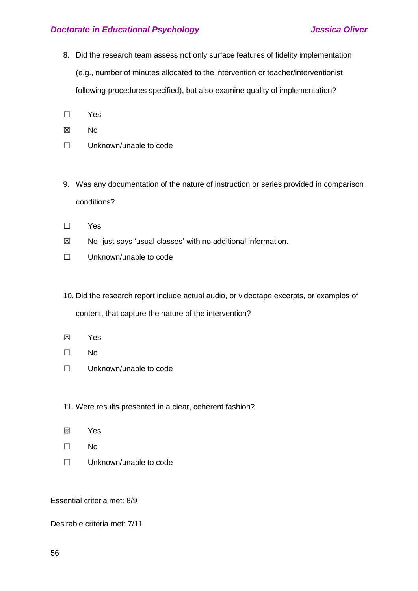- 8. Did the research team assess not only surface features of fidelity implementation (e.g., number of minutes allocated to the intervention or teacher/interventionist following procedures specified), but also examine quality of implementation?
- ☐ Yes
- ☒ No
- ☐ Unknown/unable to code
- 9. Was any documentation of the nature of instruction or series provided in comparison conditions?
- ☐ Yes
- $\boxtimes$  No- just says 'usual classes' with no additional information.
- ☐ Unknown/unable to code
- 10. Did the research report include actual audio, or videotape excerpts, or examples of content, that capture the nature of the intervention?
- ☒ Yes
- ☐ No
- ☐ Unknown/unable to code
- 11. Were results presented in a clear, coherent fashion?
- ☒ Yes
- ☐ No
- ☐ Unknown/unable to code

Essential criteria met: 8/9

Desirable criteria met: 7/11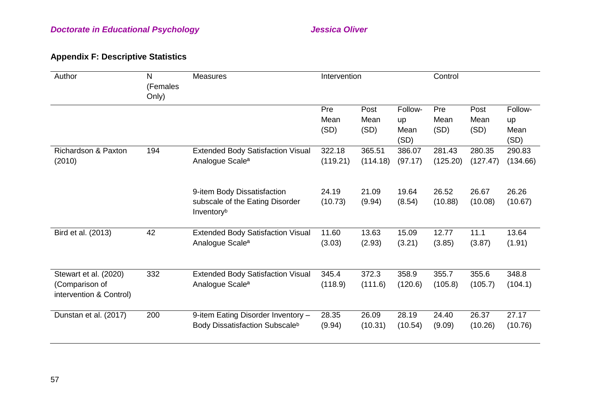# **Appendix F: Descriptive Statistics**

| Author                                                             | N<br>(Females<br>Only) | <b>Measures</b>                                                                  | Intervention        |                      |                               | Control             |                      |                               |  |
|--------------------------------------------------------------------|------------------------|----------------------------------------------------------------------------------|---------------------|----------------------|-------------------------------|---------------------|----------------------|-------------------------------|--|
|                                                                    |                        |                                                                                  | Pre<br>Mean<br>(SD) | Post<br>Mean<br>(SD) | Follow-<br>up<br>Mean<br>(SD) | Pre<br>Mean<br>(SD) | Post<br>Mean<br>(SD) | Follow-<br>up<br>Mean<br>(SD) |  |
| Richardson & Paxton<br>(2010)                                      | 194                    | <b>Extended Body Satisfaction Visual</b><br>Analogue Scale <sup>a</sup>          | 322.18<br>(119.21)  | 365.51<br>(114.18)   | 386.07<br>(97.17)             | 281.43<br>(125.20)  | 280.35<br>(127.47)   | 290.83<br>(134.66)            |  |
|                                                                    |                        | 9-item Body Dissatisfaction<br>subscale of the Eating Disorder<br>Inventoryb     | 24.19<br>(10.73)    | 21.09<br>(9.94)      | 19.64<br>(8.54)               | 26.52<br>(10.88)    | 26.67<br>(10.08)     | 26.26<br>(10.67)              |  |
| Bird et al. (2013)                                                 | 42                     | <b>Extended Body Satisfaction Visual</b><br>Analogue Scale <sup>a</sup>          | 11.60<br>(3.03)     | 13.63<br>(2.93)      | 15.09<br>(3.21)               | 12.77<br>(3.85)     | 11.1<br>(3.87)       | 13.64<br>(1.91)               |  |
| Stewart et al. (2020)<br>(Comparison of<br>intervention & Control) | 332                    | <b>Extended Body Satisfaction Visual</b><br>Analogue Scale <sup>a</sup>          | 345.4<br>(118.9)    | 372.3<br>(111.6)     | 358.9<br>(120.6)              | 355.7<br>(105.8)    | 355.6<br>(105.7)     | 348.8<br>(104.1)              |  |
| Dunstan et al. (2017)                                              | 200                    | 9-item Eating Disorder Inventory -<br>Body Dissatisfaction Subscale <sup>b</sup> | 28.35<br>(9.94)     | 26.09<br>(10.31)     | 28.19<br>(10.54)              | 24.40<br>(9.09)     | 26.37<br>(10.26)     | 27.17<br>(10.76)              |  |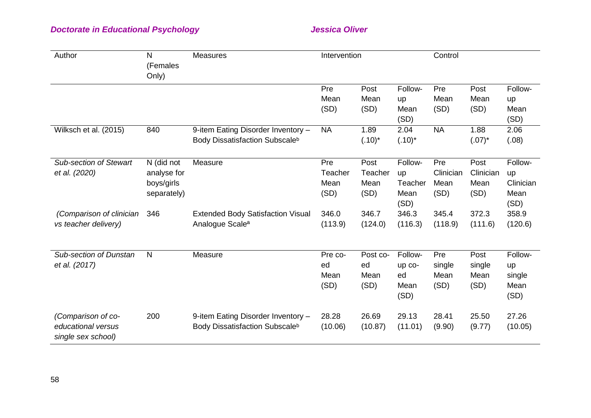| Author                                                         | N<br>(Females<br>Only)                                 | <b>Measures</b>                                                                  | Intervention                   |                                 |                                          | Control                          |                                   |                                            |  |
|----------------------------------------------------------------|--------------------------------------------------------|----------------------------------------------------------------------------------|--------------------------------|---------------------------------|------------------------------------------|----------------------------------|-----------------------------------|--------------------------------------------|--|
|                                                                |                                                        |                                                                                  | Pre<br>Mean<br>(SD)            | Post<br>Mean<br>(SD)            | Follow-<br>up<br>Mean<br>(SD)            | Pre<br>Mean<br>(SD)              | Post<br>Mean<br>(SD)              | Follow-<br>up<br>Mean<br>(SD)              |  |
| Wilksch et al. (2015)                                          | 840                                                    | 9-item Eating Disorder Inventory -<br>Body Dissatisfaction Subscale <sup>b</sup> | <b>NA</b>                      | 1.89<br>$(.10)^*$               | 2.04<br>$(.10)^*$                        | <b>NA</b>                        | 1.88<br>$(.07)^*$                 | 2.06<br>(.08)                              |  |
| <b>Sub-section of Stewart</b><br>et al. (2020)                 | N (did not<br>analyse for<br>boys/girls<br>separately) | Measure                                                                          | Pre<br>Teacher<br>Mean<br>(SD) | Post<br>Teacher<br>Mean<br>(SD) | Follow-<br>up<br>Teacher<br>Mean<br>(SD) | Pre<br>Clinician<br>Mean<br>(SD) | Post<br>Clinician<br>Mean<br>(SD) | Follow-<br>up<br>Clinician<br>Mean<br>(SD) |  |
| (Comparison of clinician<br>vs teacher delivery)               | 346                                                    | <b>Extended Body Satisfaction Visual</b><br>Analogue Scale <sup>a</sup>          | 346.0<br>(113.9)               | 346.7<br>(124.0)                | 346.3<br>(116.3)                         | 345.4<br>(118.9)                 | 372.3<br>(111.6)                  | 358.9<br>(120.6)                           |  |
| <b>Sub-section of Dunstan</b><br>et al. (2017)                 | $\mathsf{N}$                                           | Measure                                                                          | Pre co-<br>ed<br>Mean<br>(SD)  | Post co-<br>ed<br>Mean<br>(SD)  | Follow-<br>up co-<br>ed<br>Mean<br>(SD)  | Pre<br>single<br>Mean<br>(SD)    | Post<br>single<br>Mean<br>(SD)    | Follow-<br>up<br>single<br>Mean<br>(SD)    |  |
| (Comparison of co-<br>educational versus<br>single sex school) | 200                                                    | 9-item Eating Disorder Inventory -<br>Body Dissatisfaction Subscale <sup>b</sup> | 28.28<br>(10.06)               | 26.69<br>(10.87)                | 29.13<br>(11.01)                         | 28.41<br>(9.90)                  | 25.50<br>(9.77)                   | 27.26<br>(10.05)                           |  |